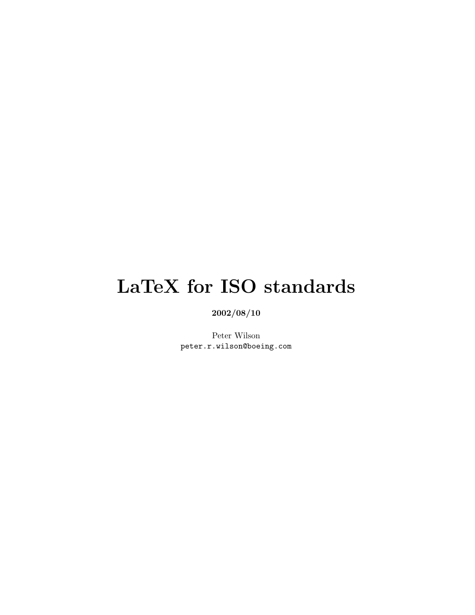# <span id="page-0-0"></span>LaTeX for ISO standards

2002/08/10

Peter Wilson peter.r.wilson@boeing.com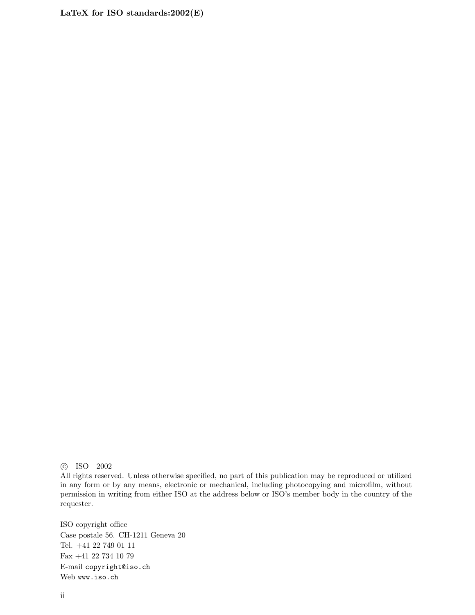c ISO 2002

All rights reserved. Unless otherwise specified, no part of this publication may be reproduced or utilized in any form or by any means, electronic or mechanical, including photocopying and microfilm, without permission in writing from either ISO at the address below or ISO's member body in the country of the requester.

ISO copyright office Case postale 56. CH-1211 Geneva 20 Tel. +41 22 749 01 11 Fax +41 22 734 10 79 E-mail copyright@iso.ch Web www.iso.ch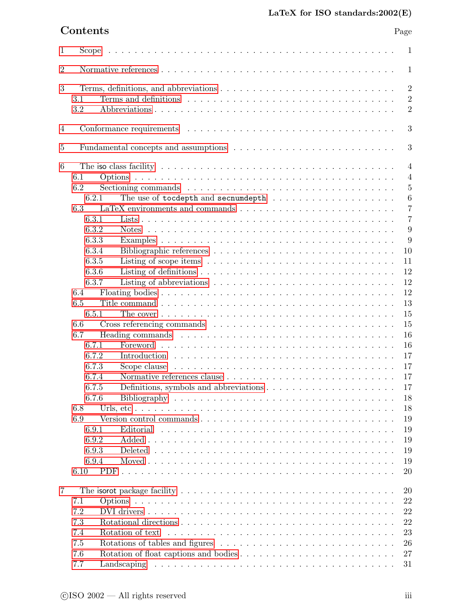| $\mathbf{1}$   | Scope                                                                                                                | $\mathbf{1}$     |  |  |  |
|----------------|----------------------------------------------------------------------------------------------------------------------|------------------|--|--|--|
| $\overline{2}$ | $\mathbf{1}$                                                                                                         |                  |  |  |  |
| 3              |                                                                                                                      | $\overline{2}$   |  |  |  |
|                | 3.1                                                                                                                  | $\overline{2}$   |  |  |  |
|                | 3.2                                                                                                                  | $\overline{2}$   |  |  |  |
|                |                                                                                                                      |                  |  |  |  |
| $\overline{4}$ |                                                                                                                      | 3                |  |  |  |
| 5              |                                                                                                                      | 3                |  |  |  |
| 6              |                                                                                                                      | $\overline{4}$   |  |  |  |
|                | 6.1                                                                                                                  | $\overline{4}$   |  |  |  |
|                | 6.2                                                                                                                  | $\overline{5}$   |  |  |  |
|                | 6.2.1                                                                                                                | $\boldsymbol{6}$ |  |  |  |
|                |                                                                                                                      |                  |  |  |  |
|                | 6.3                                                                                                                  | $\overline{7}$   |  |  |  |
|                | 6.3.1                                                                                                                | $\overline{7}$   |  |  |  |
|                | 6.3.2                                                                                                                | 9                |  |  |  |
|                | 6.3.3                                                                                                                | 9                |  |  |  |
|                | 6.3.4                                                                                                                | 10               |  |  |  |
|                | 6.3.5<br>Listing of scope items $\dots \dots \dots \dots \dots \dots \dots \dots \dots \dots \dots$                  | 11               |  |  |  |
|                | 6.3.6                                                                                                                | 12               |  |  |  |
|                | 6.3.7                                                                                                                | 12               |  |  |  |
|                | 6.4                                                                                                                  | 12               |  |  |  |
|                | 6.5                                                                                                                  | 13               |  |  |  |
|                | 6.5.1<br>The cover $\dots \dots \dots \dots \dots \dots \dots \dots \dots \dots \dots \dots \dots \dots \dots \dots$ | 15               |  |  |  |
|                | 6.6                                                                                                                  | 15               |  |  |  |
|                |                                                                                                                      |                  |  |  |  |
|                | 6.7<br>Heading commands $\ldots \ldots \ldots \ldots \ldots \ldots \ldots \ldots \ldots \ldots \ldots \ldots$        | 16               |  |  |  |
|                | 6.7.1                                                                                                                | 16               |  |  |  |
|                | 6.7.2                                                                                                                | 17               |  |  |  |
|                | 6.7.3                                                                                                                | 17               |  |  |  |
|                | 6.7.4                                                                                                                | 17               |  |  |  |
|                | 6.7.5                                                                                                                | 17               |  |  |  |
|                | 6.7.6                                                                                                                | 18               |  |  |  |
|                | 6.8                                                                                                                  | 18               |  |  |  |
|                | 6.9                                                                                                                  | 19               |  |  |  |
|                | 6.9.1<br>Editorial                                                                                                   | 19               |  |  |  |
|                | 6.9.2                                                                                                                | 19               |  |  |  |
|                | 6.9.3                                                                                                                | 19               |  |  |  |
|                | 6.9.4                                                                                                                | 19               |  |  |  |
|                |                                                                                                                      |                  |  |  |  |
|                | 6.10<br>PDF                                                                                                          | 20               |  |  |  |
| 7              |                                                                                                                      | 20               |  |  |  |
|                |                                                                                                                      | 22               |  |  |  |
|                | 7.1                                                                                                                  |                  |  |  |  |
|                | 7.2                                                                                                                  | 22               |  |  |  |
|                | 7.3                                                                                                                  | 22               |  |  |  |
|                | Rotation of text<br>7.4                                                                                              | 23               |  |  |  |
|                | 7.5                                                                                                                  | 26               |  |  |  |
|                | 7.6                                                                                                                  | 27               |  |  |  |
|                | 7.7                                                                                                                  | 31               |  |  |  |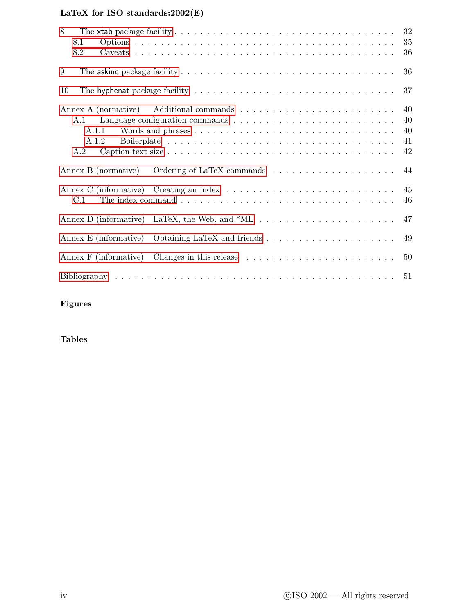| 8<br>8.1<br>8.2                                                                                                        | 32<br>35<br>36             |
|------------------------------------------------------------------------------------------------------------------------|----------------------------|
| 9<br>The askinc package facility $\dots \dots \dots \dots \dots \dots \dots \dots \dots \dots \dots \dots \dots \dots$ | 36                         |
| 10                                                                                                                     | 37                         |
| A.1<br>A.1.1<br>A.1.2<br>A.2                                                                                           | 40<br>40<br>40<br>41<br>42 |
| Annex B (normative)                                                                                                    | 44                         |
| Annex C (informative) Creating an index $\dots \dots \dots \dots \dots \dots \dots \dots \dots \dots$<br>C.1           | 45<br>46                   |
| Annex D (informative)                                                                                                  | 47                         |
|                                                                                                                        | 49                         |
| Annex F (informative)                                                                                                  | 50                         |
|                                                                                                                        | 51                         |

Figures

Tables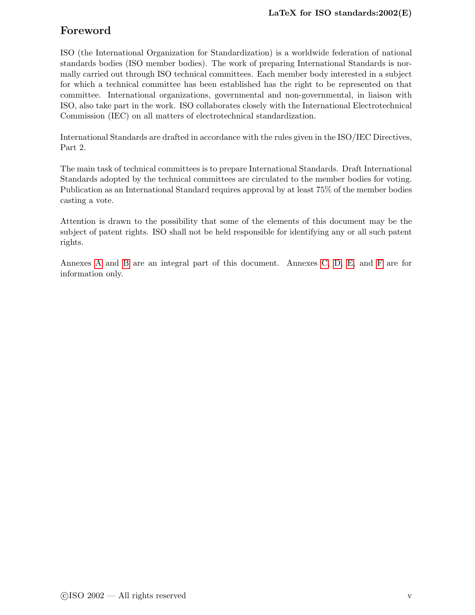# Foreword

ISO (the International Organization for Standardization) is a worldwide federation of national standards bodies (ISO member bodies). The work of preparing International Standards is normally carried out through ISO technical committees. Each member body interested in a subject for which a technical committee has been established has the right to be represented on that committee. International organizations, governmental and non-governmental, in liaison with ISO, also take part in the work. ISO collaborates closely with the International Electrotechnical Commission (IEC) on all matters of electrotechnical standardization.

International Standards are drafted in accordance with the rules given in the ISO/IEC Directives, Part 2.

The main task of technical committees is to prepare International Standards. Draft International Standards adopted by the technical committees are circulated to the member bodies for voting. Publication as an International Standard requires approval by at least 75% of the member bodies casting a vote.

Attention is drawn to the possibility that some of the elements of this document may be the subject of patent rights. ISO shall not be held responsible for identifying any or all such patent rights.

Annexes [A](#page-45-0) and [B](#page-49-0) are an integral part of this document. Annexes [C,](#page-50-0) [D,](#page-52-0) [E,](#page-54-0) and [F](#page-55-0) are for information only.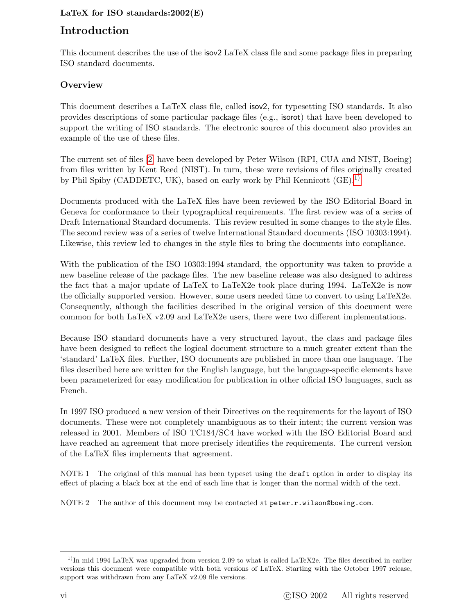# Introduction

This document describes the use of the isov2 LaTeX class file and some package files in preparing ISO standard documents.

# **Overview**

This document describes a LaTeX class file, called isov2, for typesetting ISO standards. It also provides descriptions of some particular package files (e.g., isorot) that have been developed to support the writing of ISO standards. The electronic source of this document also provides an example of the use of these files.

The current set of files [\[2\]](#page-56-1) have been developed by Peter Wilson (RPI, CUA and NIST, Boeing) from files written by Kent Reed (NIST). In turn, these were revisions of files originally created by Phil Spiby (CADDETC, UK), based on early work by Phil Kennicott  $(GE)^{1}$ .

Documents produced with the LaTeX files have been reviewed by the ISO Editorial Board in Geneva for conformance to their typographical requirements. The first review was of a series of Draft International Standard documents. This review resulted in some changes to the style files. The second review was of a series of twelve International Standard documents (ISO 10303:1994). Likewise, this review led to changes in the style files to bring the documents into compliance.

With the publication of the ISO 10303:1994 standard, the opportunity was taken to provide a new baseline release of the package files. The new baseline release was also designed to address the fact that a major update of LaTeX to LaTeX2e took place during 1994. LaTeX2e is now the officially supported version. However, some users needed time to convert to using LaTeX2e. Consequently, although the facilities described in the original version of this document were common for both LaTeX v2.09 and LaTeX2e users, there were two different implementations.

Because ISO standard documents have a very structured layout, the class and package files have been designed to reflect the logical document structure to a much greater extent than the 'standard' LaTeX files. Further, ISO documents are published in more than one language. The files described here are written for the English language, but the language-specific elements have been parameterized for easy modification for publication in other official ISO languages, such as French.

In 1997 ISO produced a new version of their Directives on the requirements for the layout of ISO documents. These were not completely unambiguous as to their intent; the current version was released in 2001. Members of ISO TC184/SC4 have worked with the ISO Editorial Board and have reached an agreement that more precisely identifies the requirements. The current version of the LaTeX files implements that agreement.

NOTE 1 The original of this manual has been typeset using the draft option in order to display its effect of placing a black box at the end of each line that is longer than the normal width of the text.

NOTE 2 The author of this document may be contacted at peter.r.wilson@boeing.com.

<span id="page-5-0"></span> $1$ In mid 1994 LaTeX was upgraded from version 2.09 to what is called LaTeX2e. The files described in earlier versions this document were compatible with both versions of LaTeX. Starting with the October 1997 release, support was withdrawn from any LaTeX v2.09 file versions.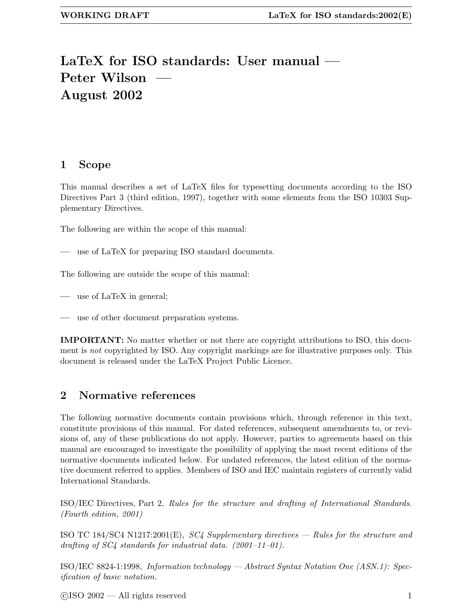# <span id="page-6-2"></span>LaTeX for ISO standards: User manual — Peter Wilson August 2002

# <span id="page-6-0"></span>1 Scope

This manual describes a set of LaTeX files for typesetting documents according to the ISO Directives Part 3 (third edition, 1997), together with some elements from the ISO 10303 Supplementary Directives.

The following are within the scope of this manual:

use of LaTeX for preparing ISO standard documents.

The following are outside the scope of this manual:

use of LaTeX in general;

— use of other document preparation systems.

IMPORTANT: No matter whether or not there are copyright attributions to ISO, this document is *not* copyrighted by ISO. Any copyright markings are for illustrative purposes only. This document is released under the LaTeX Project Public Licence.

# <span id="page-6-1"></span>2 Normative references

The following normative documents contain provisions which, through reference in this text, constitute provisions of this manual. For dated references, subsequent amendments to, or revisions of, any of these publications do not apply. However, parties to agreements based on this manual are encouraged to investigate the possibility of applying the most recent editions of the normative documents indicated below. For undated references, the latest edition of the normative document referred to applies. Members of ISO and IEC maintain registers of currently valid International Standards.

ISO/IEC Directives, Part 2, Rules for the structure and drafting of International Standards. (Fourth edition, 2001)

ISO TC 184/SC4 N1217:2001(E),  $SC4$  Supplementary directives — Rules for the structure and drafting of  $SC_4$  standards for industrial data.  $(2001-11-01)$ .

ISO/IEC 8824-1:1998, Information technology — Abstract Syntax Notation One (ASN.1): Specification of basic notation.

 $\odot$ ISO 2002 — All rights reserved 1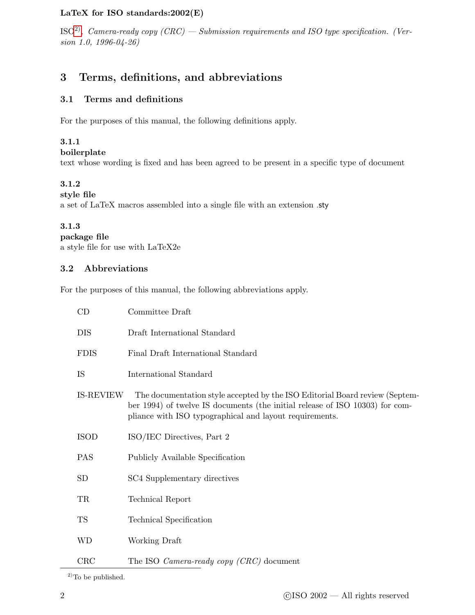<span id="page-7-3"></span> $\mathrm{ISO}^2$ ), Camera-ready copy (CRC) — Submission requirements and ISO type specification. (Version 1.0, 1996-04-26)

# <span id="page-7-1"></span><span id="page-7-0"></span>3 Terms, definitions, and abbreviations

#### 3.1 Terms and definitions

For the purposes of this manual, the following definitions apply.

#### 3.1.1

boilerplate

text whose wording is fixed and has been agreed to be present in a specific type of document

#### 3.1.2

style file

a set of LaTeX macros assembled into a single file with an extension .sty

#### 3.1.3

```
package file
```
<span id="page-7-2"></span>a style file for use with LaTeX2e

#### 3.2 Abbreviations

For the purposes of this manual, the following abbreviations apply.

| CD               | Committee Draft                                                                                                                                                                                                        |  |  |
|------------------|------------------------------------------------------------------------------------------------------------------------------------------------------------------------------------------------------------------------|--|--|
| <b>DIS</b>       | Draft International Standard                                                                                                                                                                                           |  |  |
| <b>FDIS</b>      | Final Draft International Standard                                                                                                                                                                                     |  |  |
| IS               | International Standard                                                                                                                                                                                                 |  |  |
| <b>IS-REVIEW</b> | The documentation style accepted by the ISO Editorial Board review (Septem-<br>ber 1994) of twelve IS documents (the initial release of ISO 10303) for com-<br>pliance with ISO typographical and layout requirements. |  |  |
| <b>ISOD</b>      | ISO/IEC Directives, Part 2                                                                                                                                                                                             |  |  |
| <b>PAS</b>       | Publicly Available Specification                                                                                                                                                                                       |  |  |
| <b>SD</b>        | SC4 Supplementary directives                                                                                                                                                                                           |  |  |
| TR               | Technical Report                                                                                                                                                                                                       |  |  |
| <b>TS</b>        | Technical Specification                                                                                                                                                                                                |  |  |
| <b>WD</b>        | Working Draft                                                                                                                                                                                                          |  |  |
| CRC              | The ISO <i>Camera-ready copy</i> $(CRC)$ document                                                                                                                                                                      |  |  |

 $^{2)}$ To be published.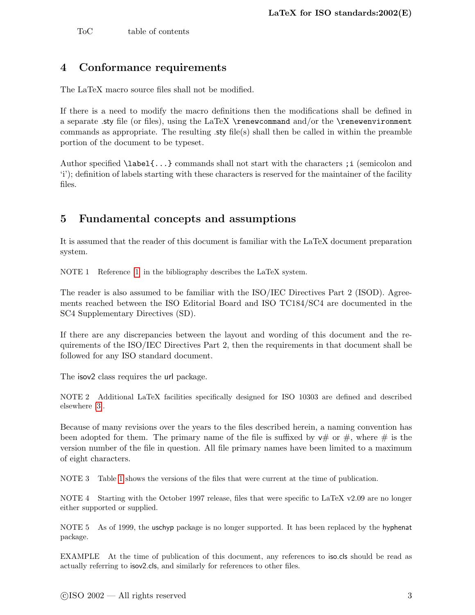<span id="page-8-2"></span>To C table of contents

# <span id="page-8-0"></span>4 Conformance requirements

The LaTeX macro source files shall not be modified.

If there is a need to modify the macro definitions then the modifications shall be defined in a separate sty file (or files), using the LaTeX \renewcommand and/or the \renewenvironment commands as appropriate. The resulting .sty file(s) shall then be called in within the preamble portion of the document to be typeset.

Author specified \label{...} commands shall not start with the characters ;i (semicolon and 'i'); definition of labels starting with these characters is reserved for the maintainer of the facility files.

# <span id="page-8-1"></span>5 Fundamental concepts and assumptions

It is assumed that the reader of this document is familiar with the LaTeX document preparation system.

NOTE 1 Reference [\[1\]](#page-56-0) in the bibliography describes the LaTeX system.

The reader is also assumed to be familiar with the ISO/IEC Directives Part 2 (ISOD). Agreements reached between the ISO Editorial Board and ISO TC184/SC4 are documented in the SC4 Supplementary Directives (SD).

If there are any discrepancies between the layout and wording of this document and the requirements of the ISO/IEC Directives Part 2, then the requirements in that document shall be followed for any ISO standard document.

The isov2 class requires the url package.

NOTE 2 Additional LaTeX facilities specifically designed for ISO 10303 are defined and described elsewhere [\[3\]](#page-56-2).

Because of many revisions over the years to the files described herein, a naming convention has been adopted for them. The primary name of the file is suffixed by  $v\#$  or  $\#$ , where  $\#$  is the version number of the file in question. All file primary names have been limited to a maximum of eight characters.

NOTE 3 Table [1](#page-9-2) shows the versions of the files that were current at the time of publication.

NOTE 4 Starting with the October 1997 release, files that were specific to LaTeX v2.09 are no longer either supported or supplied.

NOTE 5 As of 1999, the uschyp package is no longer supported. It has been replaced by the hyphenat package.

EXAMPLE At the time of publication of this document, any references to iso.cls should be read as actually referring to isov2.cls, and similarly for references to other files.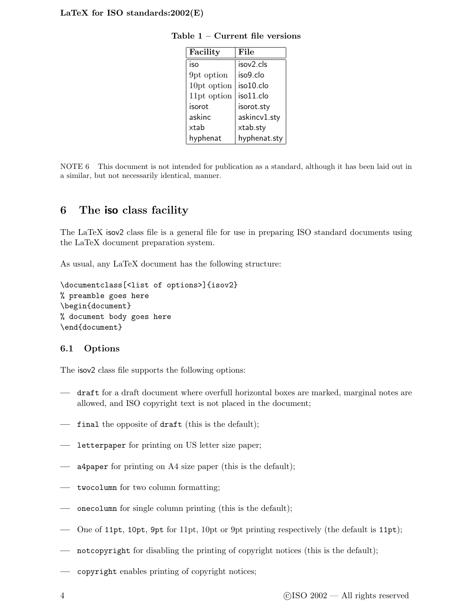<span id="page-9-2"></span>

| Facility    | File         |
|-------------|--------------|
| iso         | isov2.cls    |
| 9pt option  | iso9.clo     |
| 10pt option | iso10.clo    |
| 11pt option | iso11.clo    |
| isorot      | isorot.sty   |
| askinc      | askincv1.sty |
| xtab        | xtab.sty     |
| hyphenat    | hyphenat.sty |

<span id="page-9-3"></span>Table 1 – Current file versions

NOTE 6 This document is not intended for publication as a standard, although it has been laid out in a similar, but not necessarily identical, manner.

# <span id="page-9-0"></span>6 The iso class facility

The LaTeX isov2 class file is a general file for use in preparing ISO standard documents using the LaTeX document preparation system.

As usual, any LaTeX document has the following structure:

```
\documentclass[<list of options>]{isov2}
% preamble goes here
\begin{document}
% document body goes here
\end{document}
```
#### <span id="page-9-1"></span>6.1 Options

The isov2 class file supports the following options:

- draft for a draft document where overfull horizontal boxes are marked, marginal notes are allowed, and ISO copyright text is not placed in the document;
- $\overline{\phantom{a}}$  final the opposite of draft (this is the default);
- letterpaper for printing on US letter size paper;
- a4paper for printing on A4 size paper (this is the default);
- twocolumn for two column formatting;
- onecolumn for single column printing (this is the default);
- One of 11pt, 10pt, 9pt for 11pt, 10pt or 9pt printing respectively (the default is 11pt);
- notcopyright for disabling the printing of copyright notices (this is the default);
- copyright enables printing of copyright notices;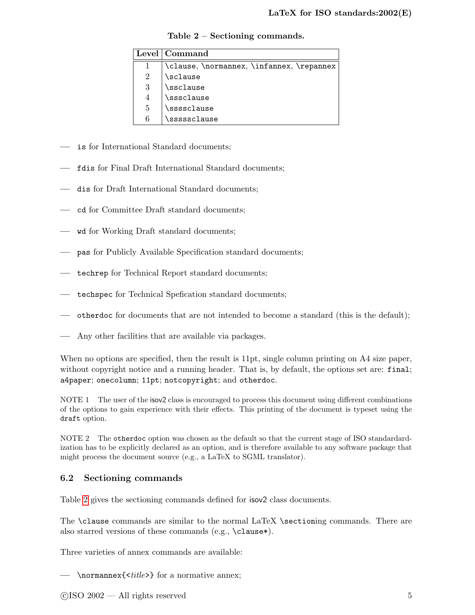<span id="page-10-2"></span>

|   | Level   Command                        |  |  |
|---|----------------------------------------|--|--|
|   | \clause,\normannex,\infannex,\repannex |  |  |
|   | \sclause                               |  |  |
| 3 | \ssclause                              |  |  |
|   | \sssclause                             |  |  |
| 5 | \ssssclause                            |  |  |
| 6 | \sssssclause                           |  |  |

<span id="page-10-1"></span>Table 2 – Sectioning commands.

- is for International Standard documents;
- fdis for Final Draft International Standard documents;
- dis for Draft International Standard documents;
- cd for Committee Draft standard documents;
- wd for Working Draft standard documents;
- pas for Publicly Available Specification standard documents;
- techrep for Technical Report standard documents;
- techspec for Technical Spefication standard documents;
- otherdoc for documents that are not intended to become a standard (this is the default);
- Any other facilities that are available via packages.

When no options are specified, then the result is 11pt, single column printing on A4 size paper, without copyright notice and a running header. That is, by default, the options set are: final; a4paper; onecolumn; 11pt; notcopyright; and otherdoc.

NOTE 1 The user of the isov2 class is encouraged to process this document using different combinations of the options to gain experience with their effects. This printing of the document is typeset using the draft option.

NOTE 2 The otherdoc option was chosen as the default so that the current stage of ISO standardardization has to be explicitly declared as an option, and is therefore available to any software package that might process the document source (e.g., a LaTeX to SGML translator).

#### <span id="page-10-0"></span>6.2 Sectioning commands

Table [2](#page-10-1) gives the sectioning commands defined for isov2 class documents.

The \clause commands are similar to the normal LaTeX \sectioning commands. There are also starred versions of these commands (e.g., \clause\*).

Three varieties of annex commands are available:

— \normannex{<title>} for a normative annex;

 $\odot$ ISO 2002 — All rights reserved  $5$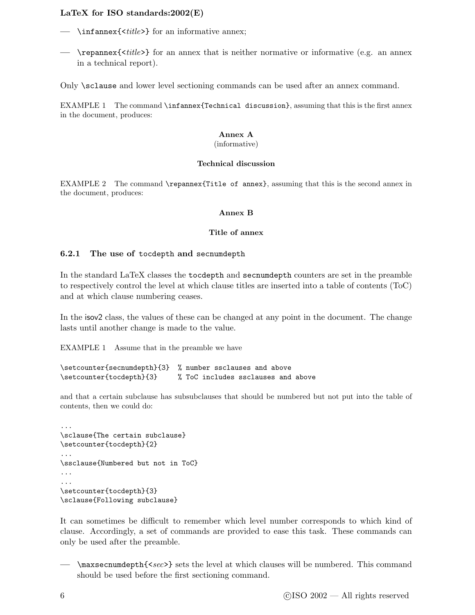- <span id="page-11-1"></span>-  $\in$  \infannex{  $\{$ ille >  $\}$  for an informative annex;
- $\rightarrow$  \repannex{ $\times$ ititle>} for an annex that is neither normative or informative (e.g. an annex in a technical report).

Only \sclause and lower level sectioning commands can be used after an annex command.

EXAMPLE 1 The command \infannex{Technical discussion}, assuming that this is the first annex in the document, produces:

#### Annex A

#### (informative)

#### Technical discussion

EXAMPLE 2 The command \repannex{Title of annex}, assuming that this is the second annex in the document, produces:

#### Annex B

#### Title of annex

#### <span id="page-11-0"></span>6.2.1 The use of tocdepth and secnumdepth

In the standard LaTeX classes the tocdepth and secnumdepth counters are set in the preamble to respectively control the level at which clause titles are inserted into a table of contents (ToC) and at which clause numbering ceases.

In the isov2 class, the values of these can be changed at any point in the document. The change lasts until another change is made to the value.

EXAMPLE 1 Assume that in the preamble we have

```
\setcounter{secnumdepth}{3} % number ssclauses and above
\setcounter{tocdepth}{3} % ToC includes ssclauses and above
```
and that a certain subclause has subsubclauses that should be numbered but not put into the table of contents, then we could do:

```
...
\sclause{The certain subclause}
\setcounter{tocdepth}{2}
...
\ssclause{Numbered but not in ToC}
...
...
\setcounter{tocdepth}{3}
\sclause{Following subclause}
```
It can sometimes be difficult to remember which level number corresponds to which kind of clause. Accordingly, a set of commands are provided to ease this task. These commands can only be used after the preamble.

- \maxsecnumdepth{<sec>} sets the level at which clauses will be numbered. This command should be used before the first sectioning command.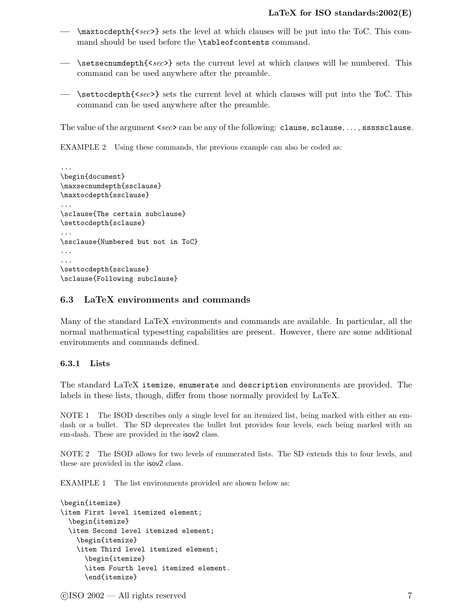- <span id="page-12-2"></span> $-$  \maxtocdepth{<sec>} sets the level at which clauses will be put into the ToC. This command should be used before the \tableofcontents command.
- $\rightarrow$  \setsecnumdepth{<sec>} sets the current level at which clauses will be numbered. This command can be used anywhere after the preamble.
- $\rightarrow$  \settocdepth{<sec>} sets the current level at which clauses will put into the ToC. This command can be used anywhere after the preamble.

The value of the argument <sec> can be any of the following: clause, sclause, ..., sssssclause.

EXAMPLE 2 Using these commands, the previous example can also be coded as:

```
...
\begin{document}
\maxsecnumdepth{ssclause}
\maxtocdepth{ssclause}
...
\sclause{The certain subclause}
\settocdepth{sclause}
...
\ssclause{Numbered but not in ToC}
...
...
\settocdepth{ssclause}
\sclause{Following subclause}
```
#### <span id="page-12-0"></span>6.3 LaTeX environments and commands

Many of the standard LaTeX environments and commands are available. In particular, all the normal mathematical typesetting capabilities are present. However, there are some additional environments and commands defined.

#### <span id="page-12-1"></span>6.3.1 Lists

The standard LaTeX itemize, enumerate and description environments are provided. The labels in these lists, though, differ from those normally provided by LaTeX.

NOTE 1 The ISOD describes only a single level for an itemized list, being marked with either an emdash or a bullet. The SD deprecates the bullet but provides four levels, each being marked with an em-dash. These are provided in the isov2 class.

NOTE 2 The ISOD allows for two levels of enumerated lists. The SD extends this to four levels, and these are provided in the isov2 class.

EXAMPLE 1 The list environments provided are shown below as:

```
\begin{itemize}
\item First level itemized element;
  \begin{itemize}
  \item Second level itemized element;
    \begin{itemize}
    \item Third level itemized element;
      \begin{itemize}
      \item Fourth level itemized element.
      \end{itemize}
```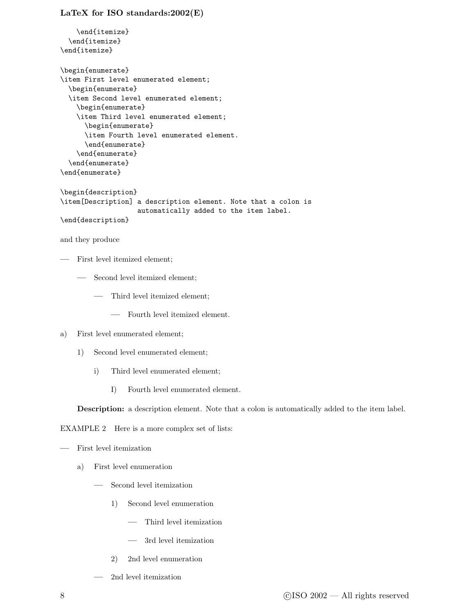```
\end{itemize}
  \end{itemize}
\end{itemize}
\begin{enumerate}
\item First level enumerated element;
  \begin{enumerate}
  \item Second level enumerated element;
   \begin{enumerate}
   \item Third level enumerated element;
      \begin{enumerate}
      \item Fourth level enumerated element.
      \end{enumerate}
   \end{enumerate}
  \end{enumerate}
\end{enumerate}
\begin{description}
\item[Description] a description element. Note that a colon is
                   automatically added to the item label.
\end{description}
and they produce
```
- First level itemized element;
	- Second level itemized element;
		- Third level itemized element;
			- Fourth level itemized element.
- a) First level enumerated element;
	- 1) Second level enumerated element;
		- i) Third level enumerated element;
			- I) Fourth level enumerated element.

Description: a description element. Note that a colon is automatically added to the item label.

EXAMPLE 2 Here is a more complex set of lists:

```
— First level itemization
```
- a) First level enumeration
	- Second level itemization
		- 1) Second level enumeration
			- Third level itemization
			- 3rd level itemization
		- 2) 2nd level enumeration
	- 2nd level itemization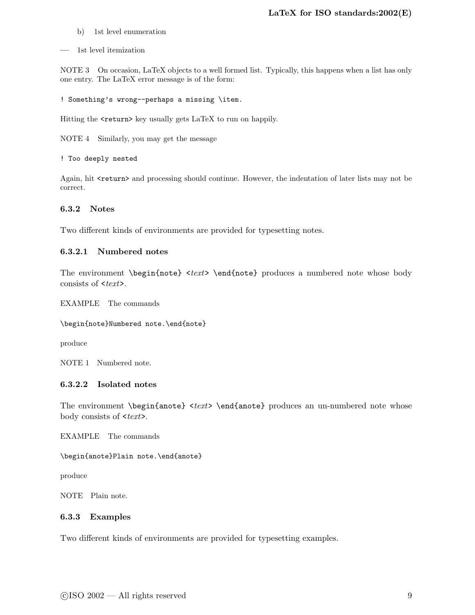- <span id="page-14-2"></span>b) 1st level enumeration
- 1st level itemization

NOTE 3 On occasion, LaTeX objects to a well formed list. Typically, this happens when a list has only one entry. The LaTeX error message is of the form:

```
! Something's wrong--perhaps a missing \item.
```
Hitting the <return> key usually gets LaTeX to run on happily.

NOTE 4 Similarly, you may get the message

! Too deeply nested

Again, hit <return> and processing should continue. However, the indentation of later lists may not be correct.

#### <span id="page-14-0"></span>6.3.2 Notes

Two different kinds of environments are provided for typesetting notes.

#### 6.3.2.1 Numbered notes

The environment \begin{note} <text> \end{note} produces a numbered note whose body consists of  $\langle \text{textz} \rangle$ .

EXAMPLE The commands

\begin{note}Numbered note.\end{note}

produce

NOTE 1 Numbered note.

#### 6.3.2.2 Isolated notes

The environment \begin{anote} < $text$  \end{anote} produces an un-numbered note whose body consists of  $\leq text$ .

EXAMPLE The commands

\begin{anote}Plain note.\end{anote}

produce

<span id="page-14-1"></span>NOTE Plain note.

#### 6.3.3 Examples

Two different kinds of environments are provided for typesetting examples.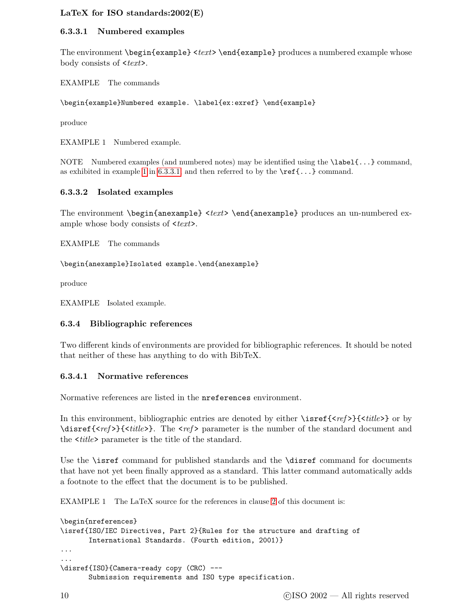#### <span id="page-15-3"></span><span id="page-15-2"></span>6.3.3.1 Numbered examples

The environment  $\begin{array}{c} \text{et } text$  and  $\text{example}$  produces a numbered example whose body consists of  $\langle \text{textz} \rangle$ .

EXAMPLE The commands

\begin{example}Numbered example. \label{ex:exref} \end{example}

<span id="page-15-1"></span>produce

EXAMPLE 1 Numbered example.

NOTE Numbered examples (and numbered notes) may be identified using the \label{...} command, as exhibited in example [1](#page-15-1) in [6.3.3.1,](#page-15-2) and then referred to by the  $\ref{...}$  command.

#### 6.3.3.2 Isolated examples

The environment \begin{anexample} < $text$  \end{anexample} produces an un-numbered example whose body consists of  $\leq t$ ext $\geq$ .

EXAMPLE The commands

\begin{anexample}Isolated example.\end{anexample}

produce

<span id="page-15-0"></span>EXAMPLE Isolated example.

#### 6.3.4 Bibliographic references

Two different kinds of environments are provided for bibliographic references. It should be noted that neither of these has anything to do with BibTeX.

#### 6.3.4.1 Normative references

Normative references are listed in the nreferences environment.

In this environment, bibliographic entries are denoted by either  $\isref{}$   $\{\}$  or by  $\mathcal{E}_{\text{set}}{\langle\mathcal{E}_{\text{set}}\rangle}$  The  $\langle\mathcal{E}_{\text{set}}\rangle$  parameter is the number of the standard document and the  $\langle title \rangle$  parameter is the title of the standard.

Use the \isref command for published standards and the \disref command for documents that have not yet been finally approved as a standard. This latter command automatically adds a footnote to the effect that the document is to be published.

EXAMPLE 1 The LaTeX source for the references in clause [2](#page-6-1) of this document is:

```
\begin{nreferences}
\isref{ISO/IEC Directives, Part 2}{Rules for the structure and drafting of
       International Standards. (Fourth edition, 2001)}
...
...
\disref{ISO}{Camera-ready copy (CRC) ---
       Submission requirements and ISO type specification.
```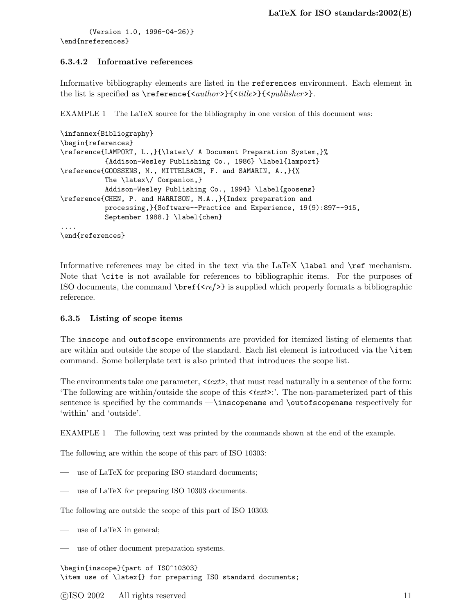<span id="page-16-1"></span>(Version 1.0, 1996-04-26)} \end{nreferences}

#### 6.3.4.2 Informative references

Informative bibliography elements are listed in the references environment. Each element in the list is specified as \reference{<author>}{<title>}{<publisher>}.

EXAMPLE 1 The LaTeX source for the bibliography in one version of this document was:

```
\infannex{Bibliography}
\begin{references}
\reference{LAMPORT, L.,}{\latex\/ A Document Preparation System,}%
           {Addison-Wesley Publishing Co., 1986} \label{lamport}
\reference{GOOSSENS, M., MITTELBACH, F. and SAMARIN, A.,}{%
           The \latex\/ Companion,}
           Addison-Wesley Publishing Co., 1994} \label{goosens}
\reference{CHEN, P. and HARRISON, M.A.,}{Index preparation and
           processing,}{Software--Practice and Experience, 19(9):897--915,
           September 1988.} \label{chen}
....
\end{references}
```
Informative references may be cited in the text via the LaTeX **\label** and **\ref** mechanism. Note that \cite is not available for references to bibliographic items. For the purposes of ISO documents, the command  $\ber{}$  is supplied which properly formats a bibliographic reference.

#### <span id="page-16-0"></span>6.3.5 Listing of scope items

The inscope and outofscope environments are provided for itemized listing of elements that are within and outside the scope of the standard. Each list element is introduced via the \item command. Some boilerplate text is also printed that introduces the scope list.

The environments take one parameter,  $\langle \text{textz} \rangle$ , that must read naturally in a sentence of the form: The following are within/outside the scope of this  $\langle text \rangle$ : The non-parameterized part of this sentence is specified by the commands —\inscopename and \outofscopename respectively for 'within' and 'outside'.

EXAMPLE 1 The following text was printed by the commands shown at the end of the example.

The following are within the scope of this part of ISO 10303:

- use of LaTeX for preparing ISO standard documents;
- use of LaTeX for preparing ISO 10303 documents.

The following are outside the scope of this part of ISO 10303:

- use of LaTeX in general;
- use of other document preparation systems.

\begin{inscope}{part of ISO~10303} \item use of \latex{} for preparing ISO standard documents;

 $\odot$ ISO 2002 — All rights reserved 11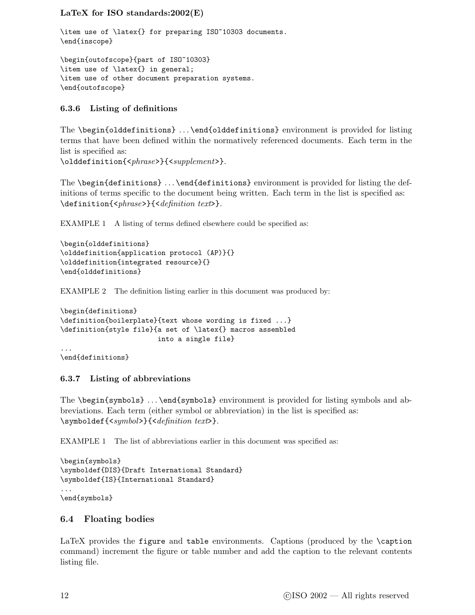```
\item use of \latex{} for preparing ISO~10303 documents.
\end{inscope}
```

```
\begin{outofscope}{part of ISO~10303}
\item use of \latex{} in general;
\item use of other document preparation systems.
\end{outofscope}
```
#### <span id="page-17-0"></span>6.3.6 Listing of definitions

The \begin{olddefinitions} . . . \end{olddefinitions} environment is provided for listing terms that have been defined within the normatively referenced documents. Each term in the list is specified as:

\olddefinition{<phrase>}{<supplement>}.

The \begin{definitions} ... \end{definitions} environment is provided for listing the definitions of terms specific to the document being written. Each term in the list is specified as: \definition{<phrase>}{<definition text>}.

EXAMPLE 1 A listing of terms defined elsewhere could be specified as:

```
\begin{olddefinitions}
\olddefinition{application protocol (AP)}{}
\olddefinition{integrated resource}{}
\end{olddefinitions}
```
EXAMPLE 2 The definition listing earlier in this document was produced by:

```
\begin{definitions}
\definition{boilerplate}{text whose wording is fixed ...}
\definition{style file}{a set of \latex{} macros assembled
                        into a single file}
...
\end{definitions}
```
#### <span id="page-17-1"></span>6.3.7 Listing of abbreviations

The \begin{symbols} . . . \end{symbols} environment is provided for listing symbols and abbreviations. Each term (either symbol or abbreviation) in the list is specified as: \symboldef{<symbol>}{<definition text>}.

EXAMPLE 1 The list of abbreviations earlier in this document was specified as:

```
\begin{symbols}
\symboldef{DIS}{Draft International Standard}
\symboldef{IS}{International Standard}
...
\end{symbols}
```
#### <span id="page-17-2"></span>6.4 Floating bodies

LaTeX provides the figure and table environments. Captions (produced by the \caption command) increment the figure or table number and add the caption to the relevant contents listing file.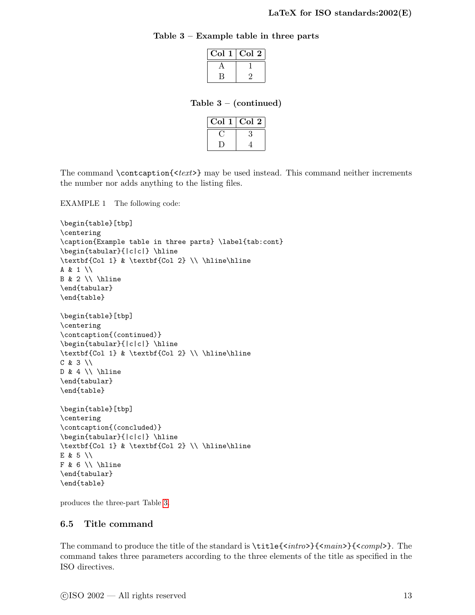#### <span id="page-18-2"></span>Table 3 – Example table in three parts

<span id="page-18-1"></span>

| Col | $\operatorname{Col}$ 2 |
|-----|------------------------|
|     |                        |
|     |                        |

Table  $3 - (continued)$ 

| Col | Col 2 |
|-----|-------|
|     |       |
|     |       |

The command \contcaption{<text>} may be used instead. This command neither increments the number nor adds anything to the listing files.

EXAMPLE 1 The following code:

```
\begin{table}[tbp]
\centering
\caption{Example table in three parts} \label{tab:cont}
\begin{tabular}{|c|c|} \hline
\textbf{Col 1} & \textbf{Col 2} \\ \hline\hline
A & 1 \\
B & 2 \backslash \hline
\end{tabular}
\end{table}
\begin{table}[tbp]
\centering
\contcaption{(continued)}
\begin{tabular}{|c|c|} \hline
\textbf{Col 1} & \textbf{Col 2} \\ \hline\hline
C & 3 \\
D & 4 \\h \hline
\end{tabular}
\end{table}
\begin{table}[tbp]
\centering
\contcaption{(concluded)}
\begin{tabular}{|c|c|} \hline
\textbf{Col 1} & \textbf{Col 2} \\ \hline\hline
E & 5 \\
F & 6 \\ \hline
\end{tabular}
\end{table}
```
<span id="page-18-0"></span>produces the three-part Table [3.](#page-18-1)

#### 6.5 Title command

The command to produce the title of the standard is  $\tilde{\langle}{}^z$  to  $\langle$   $\tilde{\langle}\rangle$   $\langle$   $\tilde{\langle}\rangle$ . The command takes three parameters according to the three elements of the title as specified in the ISO directives.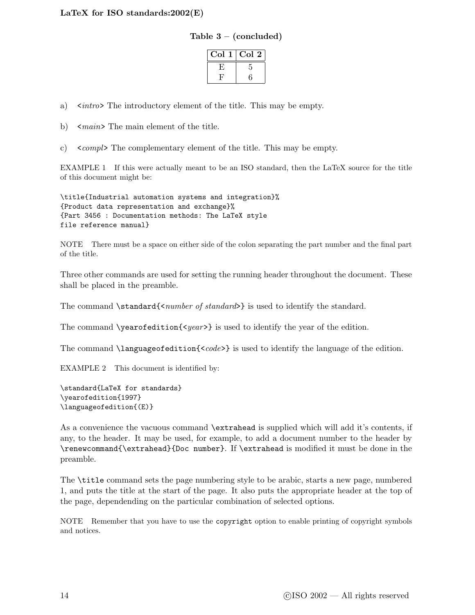| Table 3 | - (concluded) |  |
|---------|---------------|--|
|---------|---------------|--|

| Col | $\rm{Col}$ $2$ |
|-----|----------------|
| ۲   | 5              |
| H,  | б              |

<span id="page-19-0"></span>a)  $\langle \sin \theta \rangle$  The introductory element of the title. This may be empty.

b)  $\langle \text{main} \rangle$  The main element of the title.

c)  $\leq$  compl $\geq$  The complementary element of the title. This may be empty.

EXAMPLE 1 If this were actually meant to be an ISO standard, then the LaTeX source for the title of this document might be:

\title{Industrial automation systems and integration}% {Product data representation and exchange}% {Part 3456 : Documentation methods: The LaTeX style file reference manual}

NOTE There must be a space on either side of the colon separating the part number and the final part of the title.

Three other commands are used for setting the running header throughout the document. These shall be placed in the preamble.

The command  $\standard{\text{number of standard}}$  is used to identify the standard.

The command  $\yearofedition\{year\}$  is used to identify the year of the edition.

The command \languageofedition{ $<$ code>} is used to identify the language of the edition.

EXAMPLE 2 This document is identified by:

```
\standard{LaTeX for standards}
\yearofedition{1997}
\languageofedition{(E)}
```
As a convenience the vacuous command **\extrahead** is supplied which will add it's contents, if any, to the header. It may be used, for example, to add a document number to the header by \renewcommand{\extrahead}{Doc number}. If \extrahead is modified it must be done in the preamble.

The \title command sets the page numbering style to be arabic, starts a new page, numbered 1, and puts the title at the start of the page. It also puts the appropriate header at the top of the page, dependending on the particular combination of selected options.

NOTE Remember that you have to use the copyright option to enable printing of copyright symbols and notices.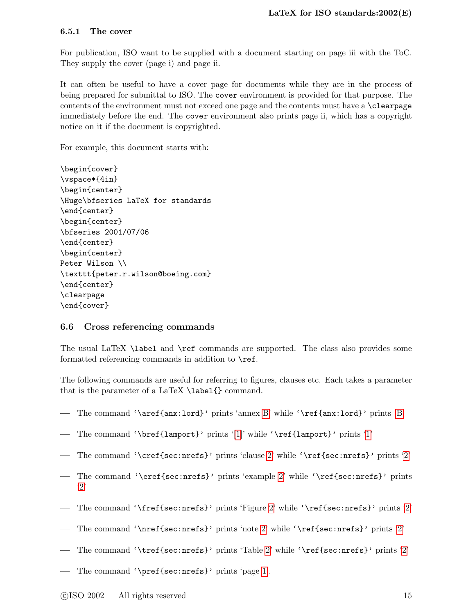#### <span id="page-20-2"></span><span id="page-20-0"></span>6.5.1 The cover

For publication, ISO want to be supplied with a document starting on page iii with the ToC. They supply the cover (page i) and page ii.

It can often be useful to have a cover page for documents while they are in the process of being prepared for submittal to ISO. The cover environment is provided for that purpose. The contents of the environment must not exceed one page and the contents must have a \clearpage immediately before the end. The cover environment also prints page ii, which has a copyright notice on it if the document is copyrighted.

For example, this document starts with:

```
\begin{cover}
\vspace*{4in}
\begin{center}
\Huge\bfseries LaTeX for standards
\end{center}
\begin{center}
\bfseries 2001/07/06
\end{center}
\begin{center}
Peter Wilson \\
\texttt{peter.r.wilson@boeing.com}
\end{center}
\clearpage
\end{cover}
```
#### <span id="page-20-1"></span>6.6 Cross referencing commands

The usual LaTeX \label and \ref commands are supported. The class also provides some formatted referencing commands in addition to **\ref.** 

The following commands are useful for referring to figures, clauses etc. Each takes a parameter that is the parameter of a LaTeX  $\lambda \$  label {} command.

- The command '\aref{anx:lord}' prints 'annex [B'](#page-49-0) while '\ref{anx:lord}' prints ['B'](#page-49-0)
- The command '\bref{lamport}' prints '[\[1\]](#page-56-0)' while '\ref{lamport}' prints ['1'](#page-56-0)
- The command '\cref{sec:nrefs}' prints 'clause [2'](#page-6-1) while '\ref{sec:nrefs}' prints ['2'](#page-6-1)
- The command '\eref{sec:nrefs}' prints 'example [2'](#page-6-1) while '\ref{sec:nrefs}' prints ['2'](#page-6-1)
- The command '\fref{sec:nrefs}' prints 'Figure [2'](#page-6-1) while '\ref{sec:nrefs}' prints ['2'](#page-6-1)
- The command '\nref{sec:nrefs}' prints 'note [2'](#page-6-1) while '\ref{sec:nrefs}' prints ['2'](#page-6-1)
- The command '\tref{sec:nrefs}' prints 'Table [2'](#page-6-1) while '\ref{sec:nrefs}' prints ['2'](#page-6-1)
- The command '\pref{sec:nrefs}' prints 'page [1'](#page-6-1).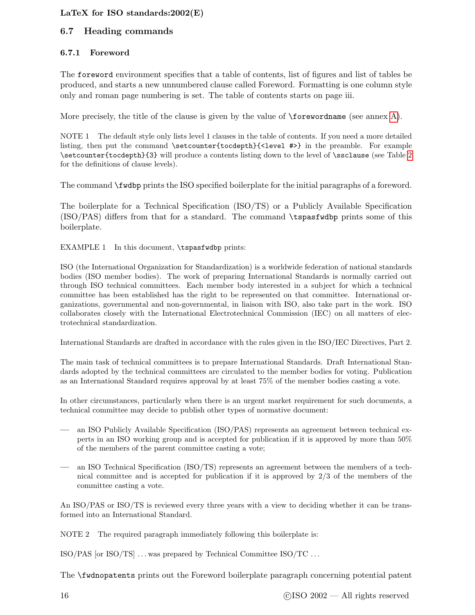#### <span id="page-21-2"></span><span id="page-21-1"></span><span id="page-21-0"></span>6.7 Heading commands

#### 6.7.1 Foreword

The foreword environment specifies that a table of contents, list of figures and list of tables be produced, and starts a new unnumbered clause called Foreword. Formatting is one column style only and roman page numbering is set. The table of contents starts on page iii.

More precisely, the title of the clause is given by the value of \forewordname (see annex [A\)](#page-45-0).

NOTE 1 The default style only lists level 1 clauses in the table of contents. If you need a more detailed listing, then put the command \setcounter{tocdepth}{<level #>} in the preamble. For example \setcounter{tocdepth}{3} will produce a contents listing down to the level of \ssclause (see Table [2](#page-10-1) for the definitions of clause levels).

The command \fwdbp prints the ISO specified boilerplate for the initial paragraphs of a foreword.

The boilerplate for a Technical Specification (ISO/TS) or a Publicly Available Specification (ISO/PAS) differs from that for a standard. The command \tspasfwdbp prints some of this boilerplate.

EXAMPLE 1 In this document, \tspasfwdbp prints:

ISO (the International Organization for Standardization) is a worldwide federation of national standards bodies (ISO member bodies). The work of preparing International Standards is normally carried out through ISO technical committees. Each member body interested in a subject for which a technical committee has been established has the right to be represented on that committee. International organizations, governmental and non-governmental, in liaison with ISO, also take part in the work. ISO collaborates closely with the International Electrotechnical Commission (IEC) on all matters of electrotechnical standardization.

International Standards are drafted in accordance with the rules given in the ISO/IEC Directives, Part 2.

The main task of technical committees is to prepare International Standards. Draft International Standards adopted by the technical committees are circulated to the member bodies for voting. Publication as an International Standard requires approval by at least 75% of the member bodies casting a vote.

In other circumstances, particularly when there is an urgent market requirement for such documents, a technical committee may decide to publish other types of normative document:

- an ISO Publicly Available Specification (ISO/PAS) represents an agreement between technical experts in an ISO working group and is accepted for publication if it is approved by more than 50% of the members of the parent committee casting a vote;
- an ISO Technical Specification (ISO/TS) represents an agreement between the members of a technical committee and is accepted for publication if it is approved by 2/3 of the members of the committee casting a vote.

An ISO/PAS or ISO/TS is reviewed every three years with a view to deciding whether it can be transformed into an International Standard.

NOTE 2 The required paragraph immediately following this boilerplate is:

ISO/PAS [or ISO/TS]  $\dots$  was prepared by Technical Committee ISO/TC  $\dots$ 

The \fwdnopatents prints out the Foreword boilerplate paragraph concerning potential patent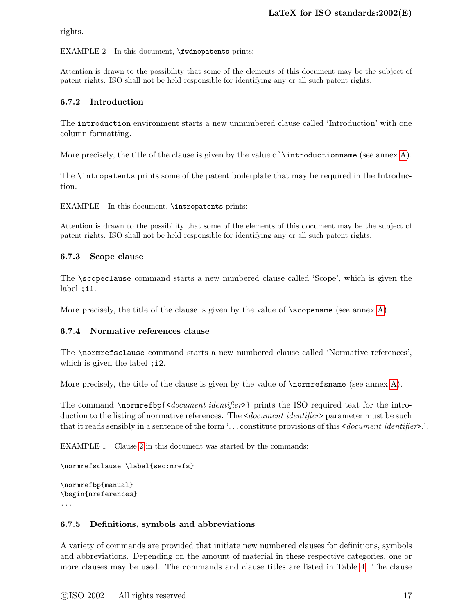<span id="page-22-4"></span>rights.

#### EXAMPLE 2 In this document, \fwdnopatents prints:

Attention is drawn to the possibility that some of the elements of this document may be the subject of patent rights. ISO shall not be held responsible for identifying any or all such patent rights.

#### <span id="page-22-0"></span>6.7.2 Introduction

The introduction environment starts a new unnumbered clause called 'Introduction' with one column formatting.

More precisely, the title of the clause is given by the value of \introductionname (see annex [A\)](#page-45-0).

The \intropatents prints some of the patent boilerplate that may be required in the Introduction.

EXAMPLE In this document, \intropatents prints:

Attention is drawn to the possibility that some of the elements of this document may be the subject of patent rights. ISO shall not be held responsible for identifying any or all such patent rights.

#### <span id="page-22-1"></span>6.7.3 Scope clause

The \scopeclause command starts a new numbered clause called 'Scope', which is given the label ;i1.

<span id="page-22-2"></span>More precisely, the title of the clause is given by the value of  $\sc$  scopename (see annex [A\)](#page-45-0).

#### 6.7.4 Normative references clause

The \normrefsclause command starts a new numbered clause called 'Normative references', which is given the label ; i2.

More precisely, the title of the clause is given by the value of  $\{normrefname}$  (see annex [A\)](#page-45-0).

The command \normrefbp{<document identifier>} prints the ISO required text for the introduction to the listing of normative references. The *<document identifier*> parameter must be such that it reads sensibly in a sentence of the form '... constitute provisions of this  $\leq$  *document identifiers*.'.

EXAMPLE 1 Clause [2](#page-6-1) in this document was started by the commands:

\normrefsclause \label{sec:nrefs}

```
\normrefbp{manual}
\begin{nreferences}
...
```
#### <span id="page-22-3"></span>6.7.5 Definitions, symbols and abbreviations

A variety of commands are provided that initiate new numbered clauses for definitions, symbols and abbreviations. Depending on the amount of material in these respective categories, one or more clauses may be used. The commands and clause titles are listed in Table [4.](#page-23-2) The clause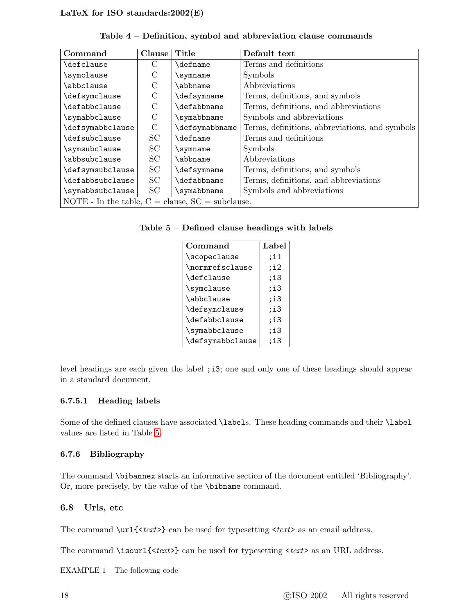<span id="page-23-4"></span>

| Command                                              | Clause        | Title           | Default text                                   |
|------------------------------------------------------|---------------|-----------------|------------------------------------------------|
| \defclause                                           | C             | <b>\defname</b> | Terms and definitions                          |
| \symclause                                           | C             | \symname        | Symbols                                        |
| \abbclause                                           | $\mathcal{C}$ | \abbname        | Abbreviations                                  |
| \defsymclause                                        | $\rm C$       | \defsymname     | Terms, definitions, and symbols                |
| \defabbclause                                        | $\mathcal{C}$ | \defabbname     | Terms, definitions, and abbreviations          |
| \symabbclause                                        | $\mathcal{C}$ | \symabbname     | Symbols and abbreviations                      |
| \defsymabbclause                                     | $\rm C$       | \defsymabbname  | Terms, definitions, abbreviations, and symbols |
| \defsubclause                                        | SC            | \defname        | Terms and definitions                          |
| \symsubclause                                        | SC            | \symname        | Symbols                                        |
| \abbsubclause                                        | SC            | \abbname        | Abbreviations                                  |
| \defsymsubclause                                     | SC            | \defsymname     | Terms, definitions, and symbols                |
| \defabbsubclause                                     | SC            | \defabbname     | Terms, definitions, and abbreviations          |
| \symabbsubclause                                     | SC            | \symabbname     | Symbols and abbreviations                      |
| NOTE - In the table, $C =$ clause, $SC =$ subclause. |               |                 |                                                |

<span id="page-23-2"></span>Table 4 – Definition, symbol and abbreviation clause commands

<span id="page-23-3"></span>

| Command          | Label |
|------------------|-------|
| \scopeclause     | :i1   |
| \normrefsclause  | ;i2   |
| \defclause       | ;i3   |
| \symclause       | ;i3   |
| \abbclause       | :13   |
| \defsymclause    | :13   |
| \defabbclause    | :i3   |
| \symabbclause    | :13   |
| \defsymabbclause | :i3   |

level headings are each given the label ; i3; one and only one of these headings should appear in a standard document.

#### 6.7.5.1 Heading labels

Some of the defined clauses have associated \labels. These heading commands and their \label values are listed in Table [5.](#page-23-3)

#### <span id="page-23-0"></span>6.7.6 Bibliography

The command \bibannex starts an informative section of the document entitled 'Bibliography'. Or, more precisely, by the value of the \bibname command.

#### <span id="page-23-1"></span>6.8 Urls, etc

The command  $\url{}$  can be used for typesetting  $\times \text{text>}$  as an email address.

The command  $\isour1\{\textless}\textless\textless}$  can be used for typesetting  $\textless}\textless\textless}$  as an URL address.

EXAMPLE 1 The following code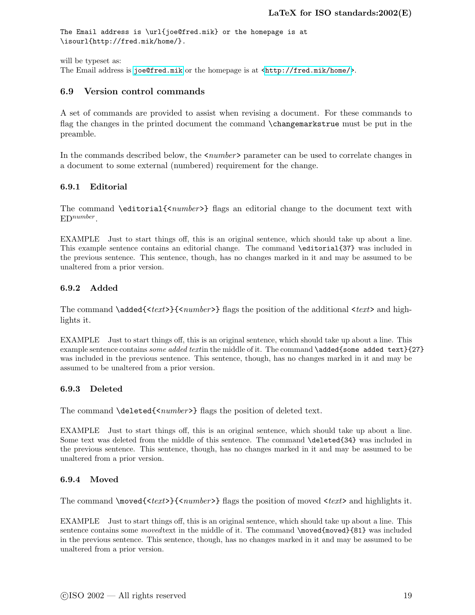```
The Email address is \url{joe@fred.mik} or the homepage is at
\isourl{http://fred.mik/home/}.
```
will be typeset as:

<span id="page-24-0"></span>The Email address is <joe@fred.mik> or the homepage is at [<http://fred.mik/home/>](http://fred.mik/home/).

#### 6.9 Version control commands

A set of commands are provided to assist when revising a document. For these commands to flag the changes in the printed document the command \changemarkstrue must be put in the preamble.

In the commands described below, the  $\langle number \rangle$  parameter can be used to correlate changes in a document to some external (numbered) requirement for the change.

#### <span id="page-24-1"></span>6.9.1 Editorial

The command \editorial{<number>} flags an editorial change to the document text with  $ED^{number}$ .

EXAMPLE Just to start things off, this is an original sentence, which should take up about a line. This example sentence contains an editorial change. The command \editorial{37} was included in the previous sentence. This sentence, though, has no changes marked in it and may be assumed to be unaltered from a prior version.

#### <span id="page-24-2"></span>6.9.2 Added

The command  $\ad{text}{{\cdot}text>}$   ${\cdot}number$  flags the position of the additional  ${\cdot}text>$  and highlights it.

EXAMPLE Just to start things off, this is an original sentence, which should take up about a line. This example sentence contains some added textin the middle of it. The command  $\ad{ded{some added text}}{27}$ was included in the previous sentence. This sentence, though, has no changes marked in it and may be assumed to be unaltered from a prior version.

#### <span id="page-24-3"></span>6.9.3 Deleted

The command \deleted{<number>} flags the position of deleted text.

EXAMPLE Just to start things off, this is an original sentence, which should take up about a line. Some text was deleted from the middle of this sentence. The command \deleted{34} was included in the previous sentence. This sentence, though, has no changes marked in it and may be assumed to be unaltered from a prior version.

#### <span id="page-24-4"></span>6.9.4 Moved

The command  $\wedge$   $\text{check}>$ {<*number>*} flags the position of moved <*text>* and highlights it.

EXAMPLE Just to start things off, this is an original sentence, which should take up about a line. This sentence contains some *moved* text in the middle of it. The command  $\text{ moved}$  {81} was included in the previous sentence. This sentence, though, has no changes marked in it and may be assumed to be unaltered from a prior version.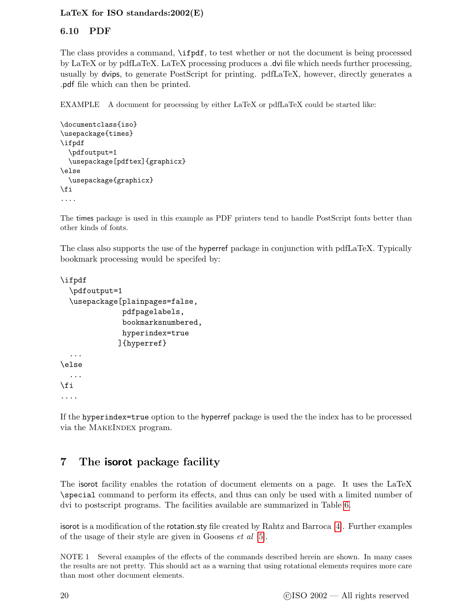#### <span id="page-25-2"></span><span id="page-25-0"></span>6.10 PDF

The class provides a command, \ifpdf, to test whether or not the document is being processed by LaTeX or by pdfLaTeX. LaTeX processing produces a .dvi file which needs further processing, usually by dvips, to generate PostScript for printing. pdfLaTeX, however, directly generates a .pdf file which can then be printed.

EXAMPLE A document for processing by either LaTeX or pdfLaTeX could be started like:

```
\documentclass{iso}
\usepackage{times}
\ifpdf
  \pdfoutput=1
  \usepackage[pdftex]{graphicx}
\else
  \usepackage{graphicx}
\fi
....
```
The times package is used in this example as PDF printers tend to handle PostScript fonts better than other kinds of fonts.

The class also supports the use of the hyperref package in conjunction with pdfLaTeX. Typically bookmark processing would be specifed by:

```
\ifpdf
  \pdfoutput=1
  \usepackage[plainpages=false,
               pdfpagelabels,
               bookmarksnumbered,
               hyperindex=true
             ]{hyperref}
  ...
\else
  ...
\fi
....
```
If the hyperindex=true option to the hyperref package is used the the index has to be processed via the MAKEINDEX program.

# <span id="page-25-1"></span>7 The isorot package facility

The isorot facility enables the rotation of document elements on a page. It uses the LaTeX \special command to perform its effects, and thus can only be used with a limited number of dvi to postscript programs. The facilities available are summarized in Table [6.](#page-26-0)

isorot is a modification of the rotation.sty file created by Rahtz and Barroca [\[4\]](#page-56-3). Further examples of the usage of their style are given in Goosens et al [\[5\]](#page-56-4).

NOTE 1 Several examples of the effects of the commands described herein are shown. In many cases the results are not pretty. This should act as a warning that using rotational elements requires more care than most other document elements.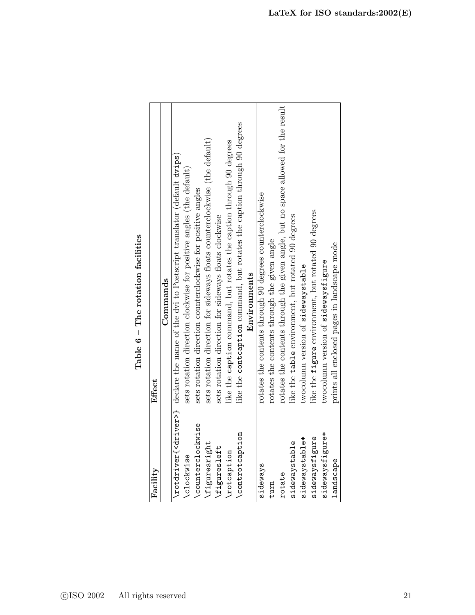<span id="page-26-0"></span>Table  $6$  – The rotation facilities Table  $6$  – The rotation facilities

<span id="page-26-1"></span>

| Facility           | Effect                                                                                                     |
|--------------------|------------------------------------------------------------------------------------------------------------|
|                    | Commands                                                                                                   |
|                    | $\chi$ rotdriver $\{\langle$ driver>} declare the name of the dvi to Postscript translator (default dvips) |
| <b>\clockwise</b>  | sets rotation direction clockwise for positive angles (the default)                                        |
| \counterclockwise  | sets rotation direction counterclockwise for positive angles                                               |
| \figuresright      | sets rotation direction for sideways floats counterclockwise (the default)                                 |
| \figuresleft       | sets rotation direction for sideways floats clockwise                                                      |
| <b>\rotcaption</b> | like the caption command, but rotates the caption through 90 degrees                                       |
| \controtcaption    | like the contcaption command, but rotates the caption through 90 degrees                                   |
|                    | Environments                                                                                               |
| sideways           | rotates the contents through 90 degrees counterclockwise                                                   |
| turn               | rotates the contents through the given angle                                                               |
| rotate             | rotates the contents through the given angle, but no space allowed for the result                          |
| sidewaystable      | like the table environment, but rotated 90 degrees                                                         |
| sidewaystable*     | twocolumn version of sidewaystable                                                                         |
| sidewaysfigure     | like the figure environment, but rotated 90 degrees                                                        |
| sidewaysfigure*    | twocolumn version of sidewaysfigure                                                                        |
| landscape          | prints all enclosed pages in landscape mode                                                                |
|                    |                                                                                                            |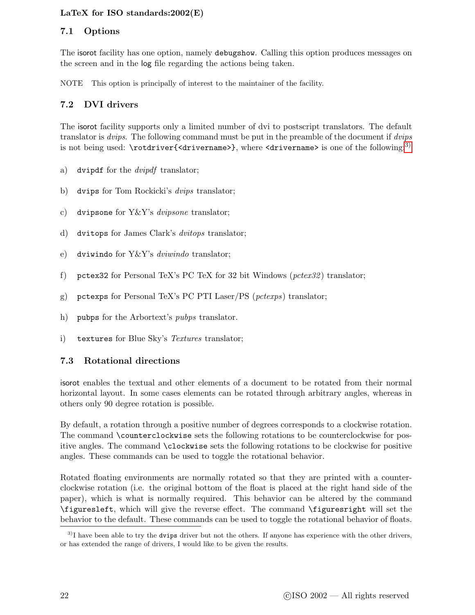#### <span id="page-27-4"></span><span id="page-27-0"></span>7.1 Options

The isorot facility has one option, namely debugshow. Calling this option produces messages on the screen and in the log file regarding the actions being taken.

<span id="page-27-1"></span>NOTE This option is principally of interest to the maintainer of the facility.

#### 7.2 DVI drivers

The isorot facility supports only a limited number of dvi to postscript translators. The default translator is *dvips*. The following command must be put in the preamble of the document if *dvips* is not being used:  $\rect{structure}$   $\{circ\}$ , where  $\{circ\}$  arivername> is one of the following:<sup>[3\)](#page-27-3)</sup>

- a) dvipdf for the *dvipdf* translator;
- b) dvips for Tom Rockicki's dvips translator;
- c) dvipsone for Y&Y's *dvipsone* translator;
- d) dvitops for James Clark's dvitops translator;
- e) dviwindo for Y&Y's *dviwindo* translator;
- f) pctex32 for Personal TeX's PC TeX for 32 bit Windows ( $pctex32$ ) translator;
- g) pctexps for Personal TeX's PC PTI Laser/PS (pctexps) translator;
- h) pubps for the Arbortext's *pubps* translator.
- <span id="page-27-2"></span>i) textures for Blue Sky's Textures translator;

#### 7.3 Rotational directions

isorot enables the textual and other elements of a document to be rotated from their normal horizontal layout. In some cases elements can be rotated through arbitrary angles, whereas in others only 90 degree rotation is possible.

By default, a rotation through a positive number of degrees corresponds to a clockwise rotation. The command \counterclockwise sets the following rotations to be counterclockwise for positive angles. The command \clockwise sets the following rotations to be clockwise for positive angles. These commands can be used to toggle the rotational behavior.

Rotated floating environments are normally rotated so that they are printed with a counterclockwise rotation (i.e. the original bottom of the float is placed at the right hand side of the paper), which is what is normally required. This behavior can be altered by the command \figuresleft, which will give the reverse effect. The command \figuresright will set the behavior to the default. These commands can be used to toggle the rotational behavior of floats.

<span id="page-27-3"></span><sup>&</sup>lt;sup>3)</sup>I have been able to try the dvips driver but not the others. If anyone has experience with the other drivers, or has extended the range of drivers, I would like to be given the results.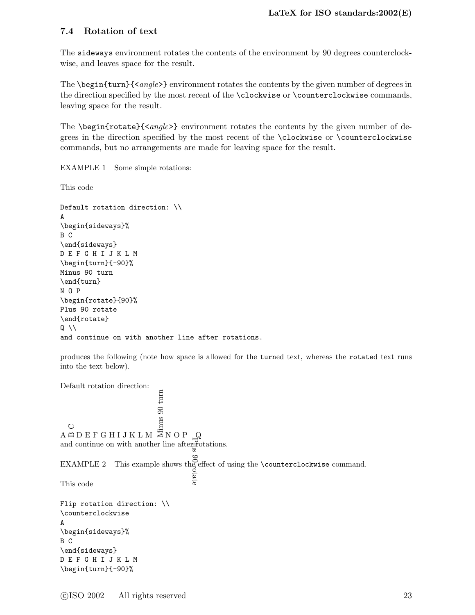#### <span id="page-28-2"></span><span id="page-28-0"></span>7.4 Rotation of text

The sideways environment rotates the contents of the environment by 90 degrees counterclockwise, and leaves space for the result.

The \begin{turn}{<angle>} environment rotates the contents by the given number of degrees in the direction specified by the most recent of the \clockwise or \counterclockwise commands, leaving space for the result.

The  $\begin{center}$   $\begin{bmatrix}$   $\end{bmatrix}$   $\begin{subarray} |c| \end{subarray}$  environment rotates the contents by the given number of degrees in the direction specified by the most recent of the \clockwise or \counterclockwise commands, but no arrangements are made for leaving space for the result.

<span id="page-28-1"></span>EXAMPLE 1 Some simple rotations:

This code

```
Default rotation direction: \\
A
\begin{sideways}%
B C
\end{sideways}
D E F G H I J K L M
\begin{turn}{-90}%
Minus 90 turn
\end{turn}
N O P
\begin{rotate}{90}%
Plus 90 rotate
\end{rotate}
Q \setminus \setminusand continue on with another line after rotations.
```
produces the following (note how space is allowed for the turned text, whereas the rotated text runs into the text below).

Default rotation direction: E<br>
C<br>
A  $\Xi$  D E F G H I J K L M  $\overline{\Xi}$  N O P Plus 90 rotate Q and continue on with another line after rotations. EXAMPLE 2 This example shows the effect of using the **\counterclockwise** command.<br>This code  $\frac{5}{6}$ This code Flip rotation direction: \\ \counterclockwise A \begin{sideways}% B C \end{sideways} D E F G H I J K L M \begin{turn}{-90}%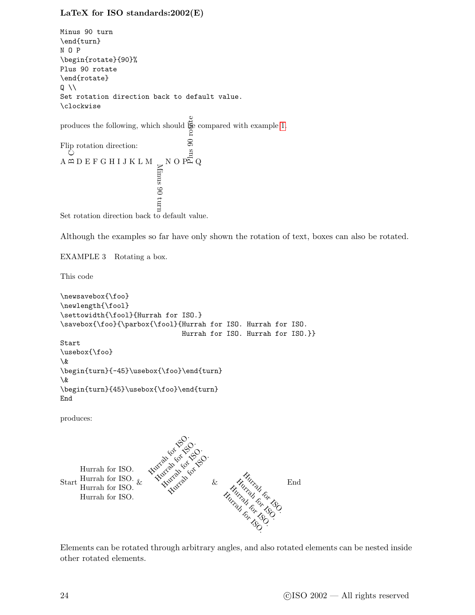```
Minus 90 turn
\end{turn}
N O P
\begin{rotate}{90}%
Plus 90 rotate
\end{rotate}
Q \setminus \setminusSet rotation direction back to default value.
\clockwise
produces the following, which should \bigoplus\limits^{\bullet\bullet}_{\mathbf{\Xi}} 1.
Flip rotation direction:
A
B C D E F G H I J K L M
                                                         Minus 90 turn
                                                              \frac{1}{2} c<br>
\frac{1}{2} \frac{1}{2} \frac{1}{2} \frac{1}{2} \frac{1}{2} \frac{1}{2} \frac{1}{2} \frac{1}{2} \frac{1}{2} \frac{1}{2} \frac{1}{2} \frac{1}{2} \frac{1}{2} \frac{1}{2} \frac{1}{2} \frac{1}{2} \frac{1}{2} \frac{1}{2} \frac{1}{2} \frac{1}{2} \frac{1}{2}
```
Set rotation direction back to default value.

Although the examples so far have only shown the rotation of text, boxes can also be rotated.

EXAMPLE 3 Rotating a box.

This code

```
\newsavebox{\foo}
\newlength{\fool}
\settowidth{\fool}{Hurrah for ISO.}
\savebox{\foo}{\parbox{\fool}{Hurrah for ISO. Hurrah for ISO.
                                               Hurrah for ISO. Hurrah for ISO.}}
Start
\usebox{\foo}
\&
\begin{turn}{-45}\usebox{\foo}\end{turn}
\&
\begin{turn}{45}\usebox{\foo}\end{turn}
End
produces:
Start
Hurrah for ISO.
       Hurrah for ISO.
        Hurrah for ISO. &<br>Hurrah for ISO. &Hurrah for ISO.
                                   Hurrah for ISO.
                                     Hurrah Gr. ISO.<br>Hurrah Gr. ISO.<br>Hurrah M. Or
                                        Hurrah Gr. 15
                                           Liver of 15 Co.
                                                            &
                                                                        Hurrah for 180<br>Vizier for 180<br>18 for 180
                                                                      Hurrah<br>India for 15<br>March 15, 150
                                                                   Hurrah <sub>68</sub><br>Hurrah <sub>68</sub>, 15<br>Islam for 15
                                                                 Hurrah For 150.<br>Hurrah For 150.<br>Surrah For 150.
                                                                                          End
```
Elements can be rotated through arbitrary angles, and also rotated elements can be nested inside other rotated elements.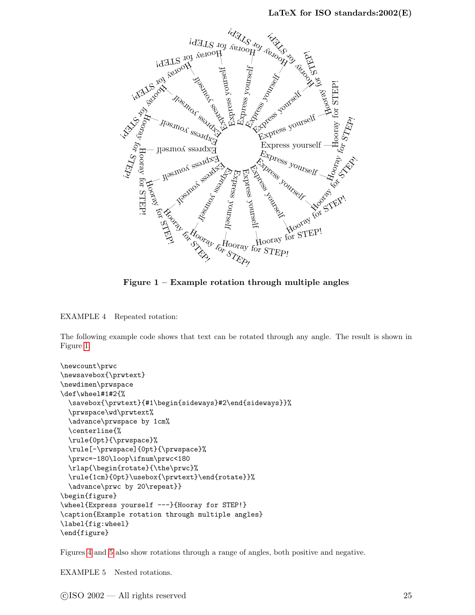

<span id="page-30-0"></span>Figure  $1$  – Example rotation through multiple angles

EXAMPLE 4 Repeated rotation:

The following example code shows that text can be rotated through any angle. The result is shown in Figure [1.](#page-30-0)

```
\newcount\prwc
\newsavebox{\prwtext}
\newdimen\prwspace
\def\wheel#1#2{%
  \savebox{\prwtext}{#1\begin{sideways}#2\end{sideways}}%
  \prwspace\wd\prwtext%
  \advance\prwspace by 1cm%
  \centerline{%
  \rule{0pt}{\prwspace}%
  \rule[-\prwspace]{0pt}{\prwspace}%
  \prwc=-180\loop\ifnum\prwc<180
  \rlap{\begin{rotate}{\the\prwc}%
  \rule{1cm}{0pt}\usebox{\prwtext}\end{rotate}}%
  \advance\prwc by 20\repeat}}
\begin{figure}
\wheel{Express yourself ---}{Hooray for STEP!}
\caption{Example rotation through multiple angles}
\label{fig:wheel}
\end{figure}
```
<span id="page-30-1"></span>Figures [4](#page-34-0) and [5](#page-35-0) also show rotations through a range of angles, both positive and negative.

EXAMPLE 5 Nested rotations.

c ISO 2002 — All rights reserved 25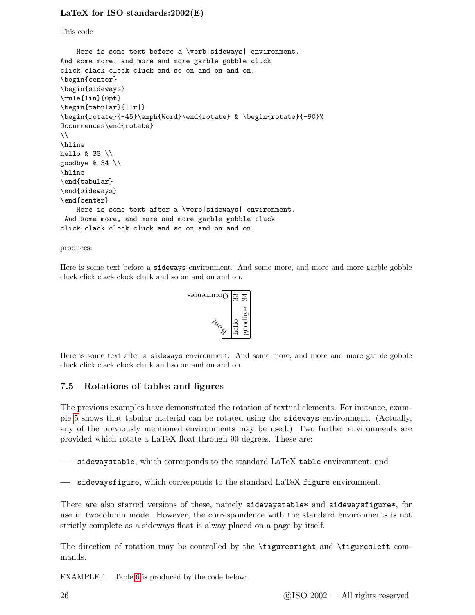<span id="page-31-1"></span>This code

```
Here is some text before a \verb|sideways| environment.
And some more, and more and more garble gobble cluck
click clack clock cluck and so on and on and on.
\begin{center}
\begin{sideways}
\rule{1in}{0pt}
\begin{tabular}{|lr|}
\begin{rotate}{-45}\emph{Word}\end{rotate} & \begin{rotate}{-90}%
Occurrences\end{rotate}
\setminus\hline
hello & 33 \\
goodbye & 34 \\
\hline
\end{tabular}
\end{sideways}
\end{center}
    Here is some text after a \verb|sideways| environment.
And some more, and more and more garble gobble cluck
click clack clock cluck and so on and on and on.
```
produces:

Here is some text before a sideways environment. And some more, and more and more garble gobble cluck click clack clock cluck and so on and on and on.



Here is some text after a sideways environment. And some more, and more and more garble gobble cluck click clack clock cluck and so on and on and on.

#### <span id="page-31-0"></span>7.5 Rotations of tables and figures

The previous examples have demonstrated the rotation of textual elements. For instance, example [5](#page-30-1) shows that tabular material can be rotated using the sideways environment. (Actually, any of the previously mentioned environments may be used.) Two further environments are provided which rotate a LaTeX float through 90 degrees. These are:

— sidewaystable, which corresponds to the standard LaTeX table environment; and

— sidewaysfigure, which corresponds to the standard LaTeX figure environment.

There are also starred versions of these, namely sidewaystable\* and sidewaysfigure\*, for use in twocolumn mode. However, the correspondence with the standard environments is not strictly complete as a sideways float is alway placed on a page by itself.

The direction of rotation may be controlled by the \figuresright and \figuresleft commands.

EXAMPLE 1 Table [6](#page-26-0) is produced by the code below: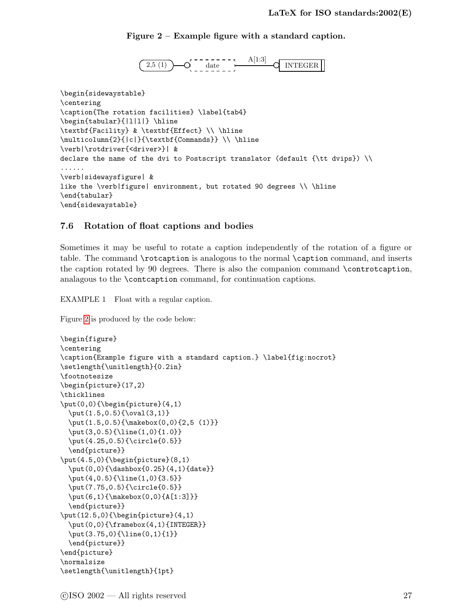#### <span id="page-32-2"></span>Figure 2 – Example figure with a standard caption.

<span id="page-32-1"></span>
$$
\underbrace{\text{(2,5 (1))}}_{\text{0}} \underbrace{\text{0}}_{\text{0}} \underbrace{\text{0}}_{\text{0}} \underbrace{\text{1}}_{\text{0}} \underbrace{\text{1}}_{\text{1}} \underbrace{\text{1}}_{\text{1}} \underbrace{\text{1}}_{\text{2}} \underbrace{\text{1}}_{\text{1}} \underbrace{\text{1}}_{\text{2}} \underbrace{\text{1}}_{\text{2}} \underbrace{\text{1}}_{\text{2}} \underbrace{\text{1}}_{\text{2}} \underbrace{\text{1}}_{\text{2}} \underbrace{\text{1}}_{\text{2}} \underbrace{\text{1}}_{\text{3}} \underbrace{\text{1}}_{\text{4}} \underbrace{\text{1}}_{\text{5}} \underbrace{\text{1}}_{\text{6}} \underbrace{\text{1}}_{\text{7}} \underbrace{\text{1}}_{\text{8}} \underbrace{\text{1}}_{\text{9}} \underbrace{\text{1}}_{\text{1}} \underbrace{\text{1}}_{\text{1}} \underbrace{\text{1}}_{\text{1}} \underbrace{\text{1}}_{\text{1}} \underbrace{\text{1}}_{\text{1}} \underbrace{\text{1}}_{\text{1}} \underbrace{\text{1}}_{\text{1}} \underbrace{\text{1}}_{\text{1}} \underbrace{\text{1}}_{\text{1}} \underbrace{\text{1}}_{\text{1}} \underbrace{\text{1}}_{\text{1}} \underbrace{\text{1}}_{\text{1}} \underbrace{\text{1}}_{\text{1}} \underbrace{\text{1}}_{\text{1}} \underbrace{\text{1}}_{\text{1}} \underbrace{\text{1}}_{\text{1}} \underbrace{\text{1}}_{\text{1}} \underbrace{\text{1}}_{\text{1}} \underbrace{\text{1}}_{\text{1}} \underbrace{\text{1}}_{\text{1}} \underbrace{\text{1}}_{\text{1}} \underbrace{\text{1}}_{\text{1}} \underbrace{\text{1}}_{\text{1}} \underbrace{\text{1}}_{\text{1}} \underbrace{\text{1}}_{\text{1}} \underbrace{\text{1}}_{\text{1}} \underbrace{\text{1}}_{\text{1}} \underbrace{\text{1}}_{\text{1}} \underbrace{\text{1}}_{\text{1}} \underbrace{\text{1}}_{\text{1}} \underbrace{\text{1}}_{\text{1}} \underbrace{\text{1}}_{\text{1}} \underbrace{\text{1}}_{\text{1
$$

```
\begin{sidewaystable}
\centering
\caption{The rotation facilities} \label{tab4}
\begin{tabular}{|1|1|} \hline
\textbf{Facility} & \textbf{Effect} \\ \hline
\multicolumn{2}{|c|}{\textbf{Commands}} \\ \hline
\verb|\rotdriver{<driver>}| &
declare the name of the dvi to Postscript translator (default {\tt dvips}) \\
......
\verb|sidewaysfigure| &
like the \verb|figure| environment, but rotated 90 degrees \\ \hline
\end{tabular}
\end{sidewaystable}
```
#### <span id="page-32-0"></span>7.6 Rotation of float captions and bodies

Sometimes it may be useful to rotate a caption independently of the rotation of a figure or table. The command \rotcaption is analogous to the normal \caption command, and inserts the caption rotated by 90 degrees. There is also the companion command \controtcaption, analagous to the \contcaption command, for continuation captions.

EXAMPLE 1 Float with a regular caption.

Figure [2](#page-32-1) is produced by the code below:

```
\begin{figure}
\centering
\caption{Example figure with a standard caption.} \label{fig:nocrot}
\setlength{\unitlength}{0.2in}
\footnotesize
\begin{picture}(17,2)
\thicklines
\put(0,0){\begin{picture}(4,1)
  \put(1.5,0.5){\oval(3,1)}
  \put(1.5,0.5){\makebox(0,0){2,5 (1)}}
  \put(3,0.5){\line(1,0){1.0}}
  \put(4.25,0.5){\circle{0.5}}
  \end{picture}}
\put(4.5,0){\begin{bmatrix}picture\end{bmatrix}}(8,1)\put(0,0){\dashbox{0.25}(4,1){date}}
  \put(4,0.5){\line(1,0){3.5}}
  \put(7.75,0.5){\circle{0.5}}
  \put(6,1){\makebox(0,0){A[1:3]}}
  \end{picture}}
\put(12.5,0){\begin{array}{c} 1 \end{array}}\put(0,0){\framebox(4,1){INTEGER}}
  \put(3.75,0){\line(0,1){1}}
  \end{picture}}
\end{picture}
\normalsize
\setlength{\unitlength}{1pt}
```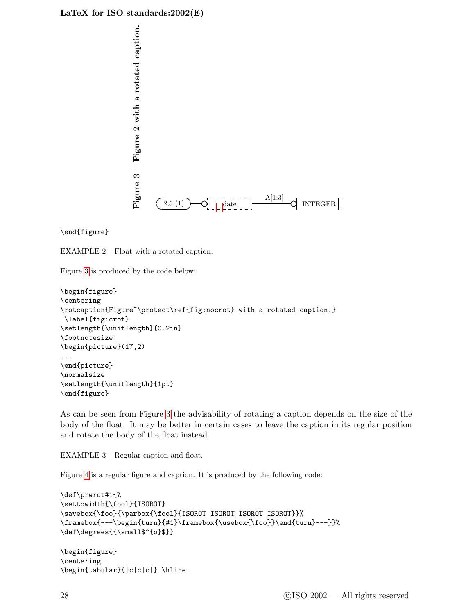<span id="page-33-0"></span>

\end{figure}

EXAMPLE 2 Float with a rotated caption.

Figure [3](#page-33-0) is produced by the code below:

```
\begin{figure}
\centering
\rotcaption{Figure~\protect\ref{fig:nocrot} with a rotated caption.}
\label{fig:crot}
\setlength{\unitlength}{0.2in}
\footnotesize
\begin{picture}(17,2)
...
\end{picture}
\normalsize
\setlength{\unitlength}{1pt}
\end{figure}
```
As can be seen from Figure [3](#page-33-0) the advisability of rotating a caption depends on the size of the body of the float. It may be better in certain cases to leave the caption in its regular position and rotate the body of the float instead.

EXAMPLE 3 Regular caption and float.

Figure [4](#page-34-0) is a regular figure and caption. It is produced by the following code:

```
\def\prwrot#1{%
\settowidth{\fool}{ISOROT}
\savebox{\foo}{\parbox{\fool}{ISOROT ISOROT ISOROT ISOROT}}%
\framebox{---\begin{turn}{#1}\framebox{\usebox{\foo}}\end{turn}---}}%
\def\degrees{{\small$^{o}$}}
\begin{figure}
\centering
```

```
\begin{tabular}{|c|c|c|} \hline
```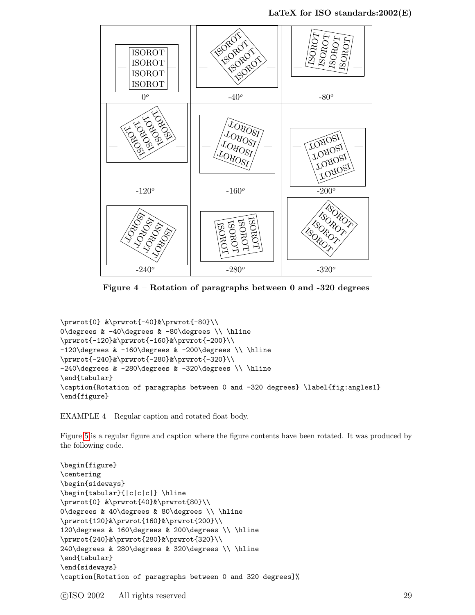

<span id="page-34-0"></span>Figure 4 – Rotation of paragraphs between 0 and -320 degrees

```
\prwrot{0} &\prwrot{-40}&\prwrot{-80}\\
0\degrees & -40\degrees & -80\degrees \\ \hline
\prwrot{-120}&\prwrot{-160}&\prwrot{-200}\\
-120\degree & -160\degree & -200\degree \%\prwrot{-240}&\prwrot{-280}&\prwrot{-320}\\
-240\degree & -280\degree & -320\degree\end{tabular}
\caption{Rotation of paragraphs between 0 and -320 degrees} \label{fig:angles1}
\end{figure}
```
EXAMPLE 4 Regular caption and rotated float body.

Figure [5](#page-35-0) is a regular figure and caption where the figure contents have been rotated. It was produced by the following code.

```
\begin{figure}
\centering
\begin{sideways}
\begin{tabular}{|c|c|c|} \hline
\prwrot{0} &\prwrot{40}&\prwrot{80}\\
0\degrees & 40\degrees & 80\degrees \\ \hline
\prwrot{120}&\prwrot{160}&\prwrot{200}\\
120\degrees & 160\degrees & 200\degrees \\ \hline
\prwrot{240}&\prwrot{280}&\prwrot{320}\\
240\degrees & 280\degrees & 320\degrees \\ \hline
\end{tabular}
\end{sideways}
\caption[Rotation of paragraphs between 0 and 320 degrees]%
```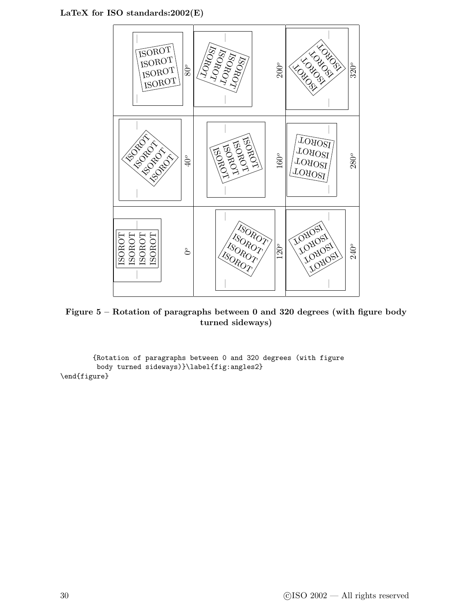

<span id="page-35-0"></span>Figure 5 – Rotation of paragraphs between 0 and 320 degrees (with figure body turned sideways)

{Rotation of paragraphs between 0 and 320 degrees (with figure body turned sideways)}\label{fig:angles2} \end{figure}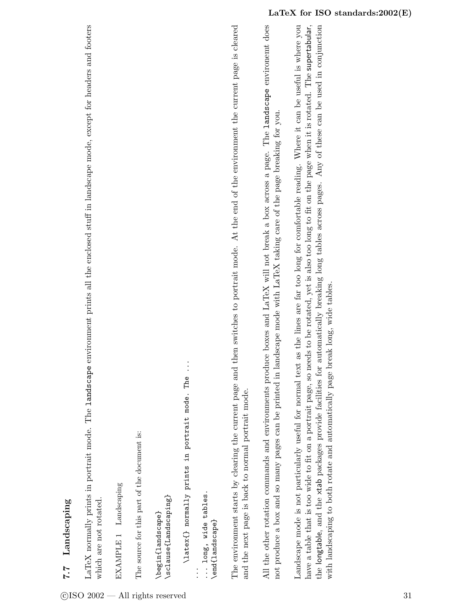7.7 Landscaping 7.7 Landscaping <span id="page-36-1"></span>LaTeX normally prints in portrait mode. The landscape environment prints all the enclosed stuff in landscape mode, except for headers and footers LaTeX normally prints in portrait mode. The landscape environment prints all the enclosed stuff in landscape mode, except for headers and footers which are not rotated. which are not rotated.

EXAMPLE 1 Landscaping EXAMPLE 1 Landscaping The source for this part of the document is: The source for this part of the document is:

\sclause{Landscaping} \sclause{Landscaping} \begin{landscape} \begin{landscape}

 $\vdots$ \latex{} normally prints in portrait mode. The ... \latex{} normally prints in portrait mode. The

... long, wide tables. ... long, wide tables.

\end{landscape} \end{landscape}

The environment starts by clearing the current page and then switches to portrait mode. At the end of the environment the current page is cleared The environment starts by clearing the current page and then switches to portrait mode. At the end of the environment the current page is cleared and the next page is back to normal portrait mode. and the next page is back to normal portrait mode. All the other rotation commands and environments produce boxes and LaTeX will not break a box across a page. The landscape environemt does All the other rotation commands and environments produce boxes and LaTeX will not break a box across a page. The landscape environemt does not produce a box and so many pages can be printed in landscape mode with LaTeX taking care of the page breaking for you. not produce a box and so many pages can be printed in landscape mode with LaTeX taking care of the page breaking for you. <span id="page-36-0"></span>Landscape mode is not particularly useful for normal text as the lines are far too long for comfortable reading. Where it can be useful is where you Landscape mode is not particularly useful for normal text as the lines are far too long for comfortable reading. Where it can be useful is where you have a table that is too wide to fit on a portrait page, so needs to be rotated, yet is also too long to fit on the page when it is rotated. The supertabular, have a table that is too wide to fit on a portrait page, so needs to be rotated, yet is also too long to fit on the page when it is rotated. The supertabular, the longtable, and the xtab packages provide facilities for automatically breaking long tables across pages. Any of these can be used in conjunction the longtable, and the xtab packages provide facilities for automatically breaking long tables across pages. Any of these can be used in conjunction with landscaping to both rotate and automatically page break long, wide tables. with landscaping to both rotate and automatically page break long, wide tables.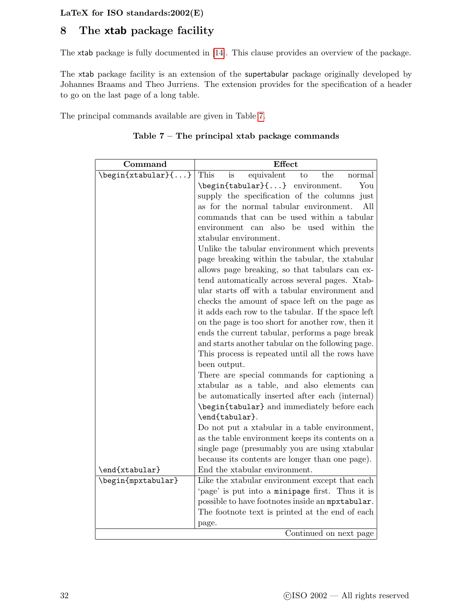# <span id="page-37-2"></span><span id="page-37-0"></span>8 The xtab package facility

The xtab package is fully documented in [\[14\]](#page-56-5). This clause provides an overview of the package.

The xtab package facility is an extension of the supertabular package originally developed by Johannes Braams and Theo Jurriens. The extension provides for the specification of a header to go on the last page of a long table.

<span id="page-37-1"></span>The principal commands available are given in Table [7.](#page-37-1)

| Table $7$ – The principal xtab package commands |
|-------------------------------------------------|
|-------------------------------------------------|

| Command            | Effect                                             |
|--------------------|----------------------------------------------------|
| \begin{xtabular}{} | This<br>equivalent<br>the<br>is<br>to<br>normal    |
|                    | \begin{tabular}{} environment.<br>You              |
|                    | supply the specification of the columns<br>just    |
|                    | as for the normal tabular environment.<br>All      |
|                    | commands that can be used within a tabular         |
|                    | environment can also be used within the            |
|                    | xtabular environment.                              |
|                    | Unlike the tabular environment which prevents      |
|                    | page breaking within the tabular, the xtabular     |
|                    | allows page breaking, so that tabulars can ex-     |
|                    | tend automatically across several pages. Xtab-     |
|                    | ular starts off with a tabular environment and     |
|                    | checks the amount of space left on the page as     |
|                    | it adds each row to the tabular. If the space left |
|                    | on the page is too short for another row, then it  |
|                    | ends the current tabular, performs a page break    |
|                    | and starts another tabular on the following page.  |
|                    | This process is repeated until all the rows have   |
|                    | been output.                                       |
|                    | There are special commands for captioning a        |
|                    | xtabular as a table, and also elements can         |
|                    | be automatically inserted after each (internal)    |
|                    | \begin{tabular} and immediately before each        |
|                    | \end{tabular}.                                     |
|                    | Do not put a xtabular in a table environment,      |
|                    | as the table environment keeps its contents on a   |
|                    | single page (presumably you are using xtabular     |
|                    | because its contents are longer than one page).    |
| \end{xtabular}     | End the xtabular environment.                      |
| \begin{mpxtabular} | Like the xtabular environment except that each     |
|                    | 'page' is put into a minipage first. Thus it is    |
|                    | possible to have footnotes inside an mpxtabular.   |
|                    | The footnote text is printed at the end of each    |
|                    | page.                                              |
|                    | Continued on next page                             |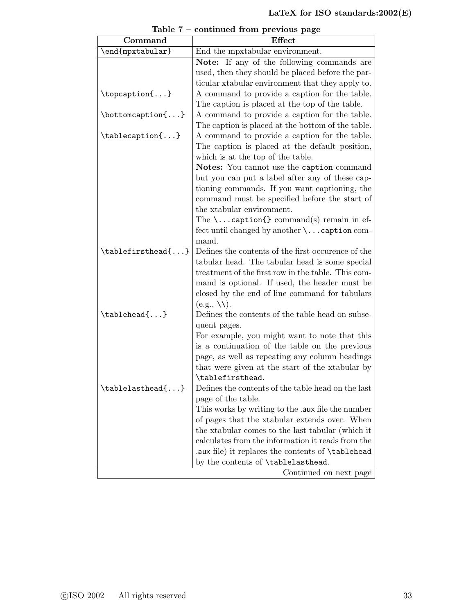| Command                                      | Effect                                                                                                |
|----------------------------------------------|-------------------------------------------------------------------------------------------------------|
| \end{mpxtabular}                             | End the mpxtabular environment.                                                                       |
|                                              | <b>Note:</b> If any of the following commands are                                                     |
|                                              | used, then they should be placed before the par-                                                      |
|                                              | ticular xtabular environment that they apply to.                                                      |
| $\to\$ {}                                    | A command to provide a caption for the table.                                                         |
|                                              | The caption is placed at the top of the table.                                                        |
| $\setminus$ bottomcaption $\{ \ldots \}$     | A command to provide a caption for the table.                                                         |
|                                              | The caption is placed at the bottom of the table.                                                     |
| $\label{eq:tablecap} \verb tablecaption{} $  | A command to provide a caption for the table.                                                         |
|                                              | The caption is placed at the default position,                                                        |
|                                              | which is at the top of the table.                                                                     |
|                                              | Notes: You cannot use the caption command                                                             |
|                                              | but you can put a label after any of these cap-                                                       |
|                                              | tioning commands. If you want captioning, the                                                         |
|                                              | command must be specified before the start of                                                         |
|                                              | the xtabular environment.                                                                             |
|                                              | The $\ldots$ caption{} command(s) remain in ef-                                                       |
|                                              | fect until changed by another $\ldots$ caption com-                                                   |
|                                              | mand.                                                                                                 |
| \tablefirsthead{}                            | Defines the contents of the first occurence of the                                                    |
|                                              | tabular head. The tabular head is some special                                                        |
|                                              | treatment of the first row in the table. This com-                                                    |
|                                              | mand is optional. If used, the header must be                                                         |
|                                              | closed by the end of line command for tabulars                                                        |
|                                              | $(e.g., \backslash \backslash).$                                                                      |
| \tablehead{}                                 | Defines the contents of the table head on subse-                                                      |
|                                              | quent pages.                                                                                          |
|                                              | For example, you might want to note that this                                                         |
|                                              | is a continuation of the table on the previous                                                        |
|                                              | page, as well as repeating any column headings                                                        |
|                                              | that were given at the start of the xtabular by                                                       |
|                                              | \tablefirsthead.                                                                                      |
| $\label{eq:stable} \verb \\tablelasthead{} $ | Defines the contents of the table head on the last                                                    |
|                                              | page of the table.                                                                                    |
|                                              | This works by writing to the .aux file the number                                                     |
|                                              | of pages that the xtabular extends over. When                                                         |
|                                              | the xtabular comes to the last tabular (which it<br>calculates from the information it reads from the |
|                                              |                                                                                                       |
|                                              | .aux file) it replaces the contents of \tablehead<br>by the contents of \tablelasthead.               |
|                                              | Continued on next page                                                                                |
|                                              |                                                                                                       |

Table 7 – continued from previous page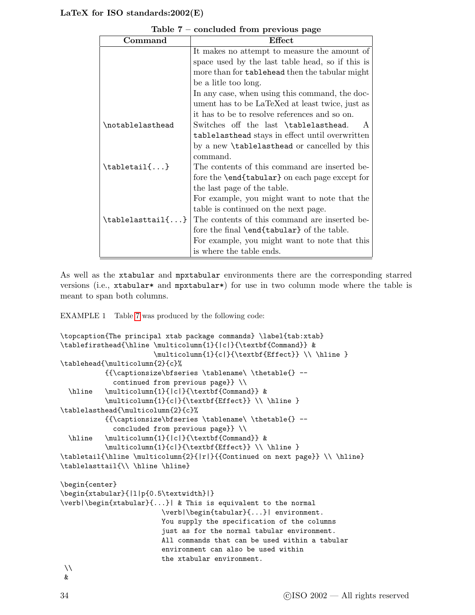<span id="page-39-1"></span>

| Command                               | Effect                                                |
|---------------------------------------|-------------------------------------------------------|
|                                       | It makes no attempt to measure the amount of          |
|                                       | space used by the last table head, so if this is      |
|                                       | more than for tablehead then the tabular might        |
|                                       | be a litle too long.                                  |
|                                       | In any case, when using this command, the doc-        |
|                                       | ument has to be LaTeXed at least twice, just as       |
|                                       | it has to be to resolve references and so on.         |
| \notablelasthead                      | Switches off the last \tablelasthead.<br>$\mathbf{A}$ |
|                                       | tablelasthead stays in effect until overwritten       |
|                                       | by a new <b>\tablelasthead</b> or cancelled by this   |
|                                       | command.                                              |
| $\mathcal{t}$ abletail $\{ \ldots \}$ | The contents of this command are inserted be-         |
|                                       | fore the <b>\end{tabular}</b> on each page except for |
|                                       | the last page of the table.                           |
|                                       | For example, you might want to note that the          |
|                                       | table is continued on the next page.                  |
| $\{\text{tablelasttail}\{\ldots\}$    | The contents of this command are inserted be-         |
|                                       | fore the final \end{tabular} of the table.            |
|                                       | For example, you might want to note that this         |
|                                       | is where the table ends.                              |

Table 7 – concluded from previous page

As well as the xtabular and mpxtabular environments there are the corresponding starred versions (i.e., xtabular\* and mpxtabular\*) for use in two column mode where the table is meant to span both columns.

<span id="page-39-0"></span>EXAMPLE 1 Table [7](#page-37-1) was produced by the following code:

```
\topcaption{The principal xtab package commands} \label{tab:xtab}
\tablefirsthead{\hline \multicolumn{1}{|c|}{\textbf{Command}} &
                       \multicolumn{1}{c|}{\textbf{Effect}} \\ \hline }
\tablehead{\multicolumn{2}{c}%
           {{\captionsize\bfseries \tablename\ \thetable{} --
             continued from previous page}} \\
  \hline \multicolumn{1}{|c|}{\textbf{Command}} &
           \mathcal{1}{c} \textbf{Effect}} \\ \hline }
\tablelasthead{\multicolumn{2}{c}%
           {{\captionsize\bfseries \tablename\ \thetable{} --
             concluded from previous page}} \\
  \hline \multicolumn{1}{|c|}{\textbf{Command}} &
           \label{thm:1} \multicolumn{1}{c|}{\textbf{Effect}} \\ \hline }
\tabletail{\hline \multicolumn{2}{|r|}{{Continued on next page}} \\ \hline}
\tablelasttail{\\ \hline \hline}
\begin{center}
\begin{xtabular}{|l|p{0.5\textwidth}|}
\verb|\begin{xtabular}{...}| & This is equivalent to the normal
                         \verb|\begin{tabular}{...}| environment.
                         You supply the specification of the columns
                         just as for the normal tabular environment.
                         All commands that can be used within a tabular
                         environment can also be used within
                         the xtabular environment.
\setminus
```

```
\boldsymbol{\ell}
```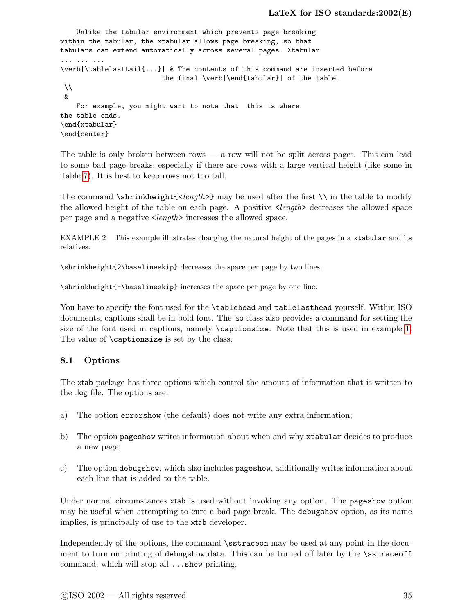```
Unlike the tabular environment which prevents page breaking
within the tabular, the xtabular allows page breaking, so that
tabulars can extend automatically across several pages. Xtabular
... ... ...
\verb|\tablelasttail{...}| & The contents of this command are inserted before
                         the final \verb|\end{tabular}| of the table.
\lambda\lambda&
    For example, you might want to note that this is where
the table ends.
\end{xtabular}
\end{center}
```
The table is only broken between rows — a row will not be split across pages. This can lead to some bad page breaks, especially if there are rows with a large vertical height (like some in Table [7\)](#page-37-1). It is best to keep rows not too tall.

The command  $\sinh\theta$  is  $\cosh\theta$  may be used after the first  $\setminus$  in the table to modify the allowed height of the table on each page. A positive  $\langle length \rangle$  decreases the allowed space per page and a negative <length> increases the allowed space.

EXAMPLE 2 This example illustrates changing the natural height of the pages in a xtabular and its relatives.

\shrinkheight{2\baselineskip} decreases the space per page by two lines.

\shrinkheight{-\baselineskip} increases the space per page by one line.

You have to specify the font used for the **\tablehead** and **tablelasthead** yourself. Within ISO documents, captions shall be in bold font. The iso class also provides a command for setting the size of the font used in captions, namely \captionsize. Note that this is used in example [1.](#page-39-0) The value of **\captionsize** is set by the class.

#### <span id="page-40-0"></span>8.1 Options

The xtab package has three options which control the amount of information that is written to the .log file. The options are:

- a) The option errorshow (the default) does not write any extra information;
- b) The option pageshow writes information about when and why xtabular decides to produce a new page;
- c) The option debugshow, which also includes pageshow, additionally writes information about each line that is added to the table.

Under normal circumstances xtab is used without invoking any option. The pageshow option may be useful when attempting to cure a bad page break. The debugshow option, as its name implies, is principally of use to the xtab developer.

Independently of the options, the command \sstraceon may be used at any point in the document to turn on printing of debugshow data. This can be turned off later by the \sstraceoff command, which will stop all ...show printing.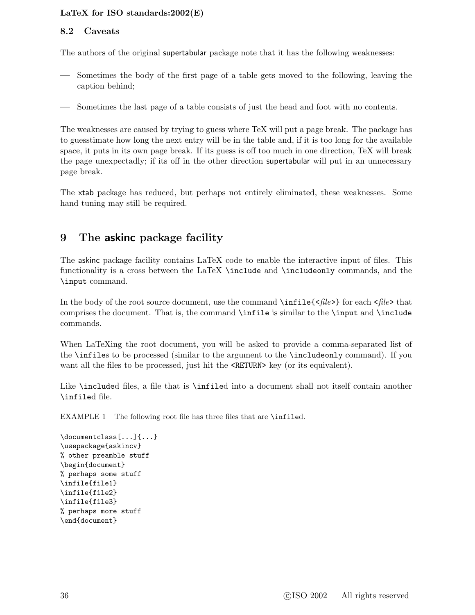#### <span id="page-41-2"></span><span id="page-41-0"></span>8.2 Caveats

The authors of the original supertabular package note that it has the following weaknesses:

- Sometimes the body of the first page of a table gets moved to the following, leaving the caption behind;
- Sometimes the last page of a table consists of just the head and foot with no contents.

The weaknesses are caused by trying to guess where TeX will put a page break. The package has to guesstimate how long the next entry will be in the table and, if it is too long for the available space, it puts in its own page break. If its guess is off too much in one direction, TeX will break the page unexpectadly; if its off in the other direction supertabular will put in an unnecessary page break.

The xtab package has reduced, but perhaps not entirely eliminated, these weaknesses. Some hand tuning may still be required.

# <span id="page-41-1"></span>9 The askinc package facility

The askinc package facility contains LaTeX code to enable the interactive input of files. This functionality is a cross between the LaTeX \include and \includeonly commands, and the \input command.

In the body of the root source document, use the command  $\in$ file $\{$ s for each  $\le$ file $>$ that comprises the document. That is, the command \infile is similar to the \input and \include commands.

When LaTeXing the root document, you will be asked to provide a comma-separated list of the \infiles to be processed (similar to the argument to the \includeonly command). If you want all the files to be processed, just hit the **<RETURN>** key (or its equivalent).

Like **\included** files, a file that is **\infiled** into a document shall not itself contain another \infiled file.

EXAMPLE 1 The following root file has three files that are \infiled.

\documentclass[...]{...} \usepackage{askincv} % other preamble stuff \begin{document} % perhaps some stuff \infile{file1} \infile{file2} \infile{file3} % perhaps more stuff \end{document}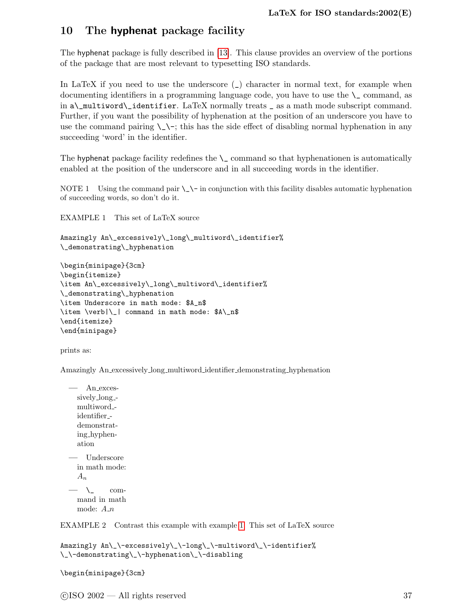# <span id="page-42-2"></span><span id="page-42-0"></span>10 The hyphenat package facility

The hyphenat package is fully described in [\[13\]](#page-56-6). This clause provides an overview of the portions of the package that are most relevant to typesetting ISO standards.

In LaTeX if you need to use the underscore  $\overline{(-)}$  character in normal text, for example when documenting identifiers in a programming language code, you have to use the  $\setminus$  command, as in a\\_multiword\\_identifier. LaTeX normally treats \_ as a math mode subscript command. Further, if you want the possibility of hyphenation at the position of an underscore you have to use the command pairing  $\setminus \setminus \cdot$ ; this has the side effect of disabling normal hyphenation in any succeeding 'word' in the identifier.

The hyphenat package facility redefines the  $\setminus$  command so that hyphenationen is automatically enabled at the position of the underscore and in all succeeding words in the identifier.

NOTE 1 Using the command pair  $\_\\$  in conjunction with this facility disables automatic hyphenation of succeeding words, so don't do it.

<span id="page-42-1"></span>EXAMPLE 1 This set of LaTeX source

```
Amazingly An\_excessively\_long\_multiword\_identifier%
\_demonstrating\_hyphenation
```

```
\begin{minipage}{3cm}
\begin{itemize}
\item An\_excessively\_long\_multiword\_identifier%
\_demonstrating\_hyphenation
\item Underscore in math mode: $A_n$
\item \verb|\_| command in math mode: $A\_n$
\end{itemize}
\end{minipage}
```
prints as:

Amazingly An excessively long multiword identifier demonstrating hyphenation

```
— An exces-
  sively long -
  multiword -
  identifier -
  demonstrat-
  ing hyphen-
  ation
— Underscore
  in math mode:
  A_n
```
 $\longrightarrow$   $\qquad$  command in math mode:  $A_n$ 

EXAMPLE 2 Contrast this example with example [1.](#page-42-1) This set of LaTeX source

```
Amazingly An\_\-excessively\_\-long\_\-multiword\_\-identifier%
\_\-demonstrating\_\-hyphenation\_\-disabling
```

```
\begin{minipage}{3cm}
```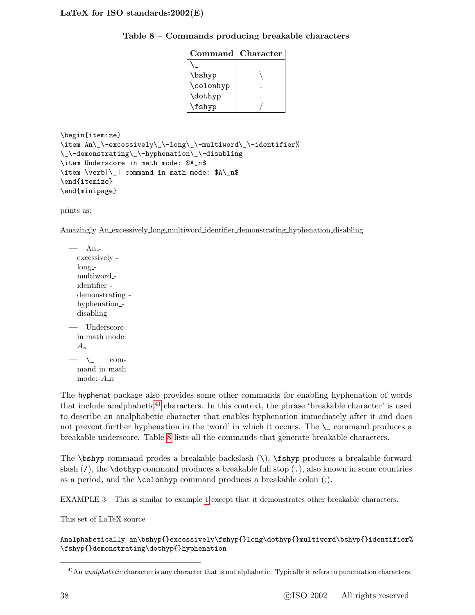<span id="page-43-2"></span>Table 8 – Commands producing breakable characters

<span id="page-43-1"></span>

| Command   | Character |
|-----------|-----------|
|           |           |
| \bshyp    |           |
| \colonhyp |           |
| \dothyp   |           |
| \fshyp    |           |

```
\begin{itemize}
\item An\_\-excessively\_\-long\_\-multiword\_\-identifier%
\_\-demonstrating\_\-hyphenation\_\-disabling
\item Underscore in math mode: $A_n$
\item \verb|\_| command in math mode: $A\_n$
\end{itemize}
\end{minipage}
```
prints as:

Amazingly An excessively long multiword identifier demonstrating hyphenation disabling

 $-$  Anexcessively  $long$ multiword identifier demonstrating hyphenation<sub>-</sub> disabling — Underscore in math mode:  $A_n$  $-\lambda$  command in math mode:  $A_n$ 

The hyphenat package also provides some other commands for enabling hyphenation of words that include analphabetic<sup>[4\)](#page-43-0)</sup> characters. In this context, the phrase 'breakable character' is used to describe an analphabetic character that enables hyphenation immediately after it and does not prevent further hyphenation in the 'word' in which it occurs. The  $\mathcal{L}$  command produces a breakable underscore. Table [8](#page-43-1) lists all the commands that generate breakable characters.

The  $\boldsymbol{\theta}$  command prodes a breakable backslash  $(\cdot)$ ,  $\boldsymbol{\theta}$  produces a breakable forward slash  $\mathcal{U}$ , the **\dothyp** command produces a breakable full stop  $\mathcal{U}$ , also known in some countries as a period, and the \colonhyp command produces a breakable colon (:).

EXAMPLE 3 This is similar to example [1](#page-42-1) except that it demonstrates other breakable characters.

This set of LaTeX source

Analphabetically an\bshyp{}excessively\fshyp{}long\dothyp{}multiword\bshyp{}identifier% \fshyp{}demonstrating\dothyp{}hyphenation

<span id="page-43-0"></span> $^{4)}$ An *analphabetic* character is any character that is not alphabetic. Typically it refers to punctuation characters.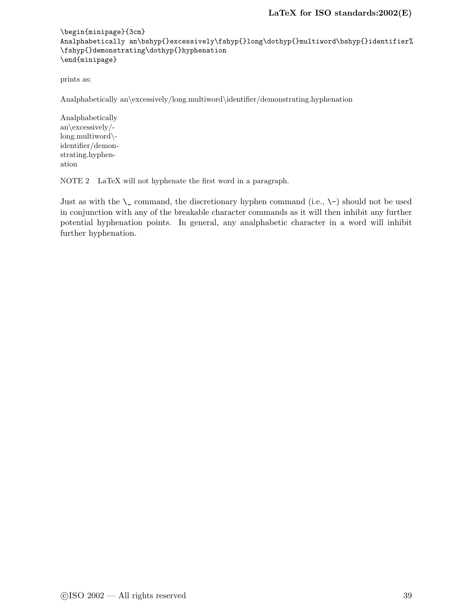```
\begin{minipage}{3cm}
\label{thm:main} {\tt And} {\tt path} is a \bshyp{} {\tt excessively} {\tt shyp{} {\tt body} {\tt f} {\tt multiword} {\tt shyp{} {\tt identifier}} \\fshyp{}demonstrating\dothyp{}hyphenation
\end{minipage}
```
prints as:

Analphabetically an\excessively/long.multiword\identifier/demonstrating.hyphenation

Analphabetically an\excessively/ long.multiword\ identifier/demonstrating.hyphenation

NOTE 2 LaTeX will not hyphenate the first word in a paragraph.

Just as with the  $\setminus$  command, the discretionary hyphen command (i.e.,  $\setminus$ ) should not be used in conjunction with any of the breakable character commands as it will then inhibit any further potential hyphenation points. In general, any analphabetic character in a word will inhibit further hyphenation.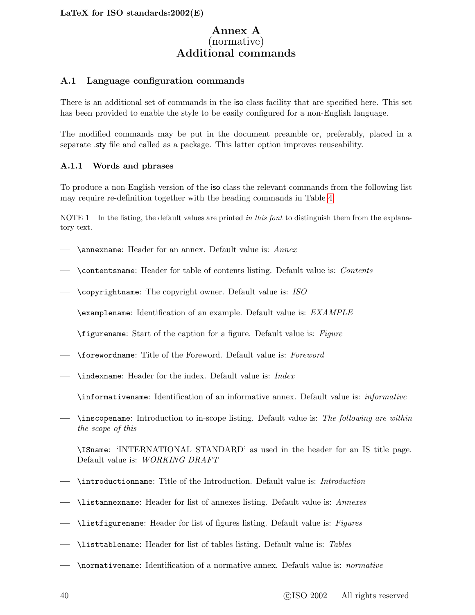# Annex A (normative) Additional commands

#### <span id="page-45-3"></span><span id="page-45-1"></span><span id="page-45-0"></span>A.1 Language configuration commands

There is an additional set of commands in the iso class facility that are specified here. This set has been provided to enable the style to be easily configured for a non-English language.

The modified commands may be put in the document preamble or, preferably, placed in a separate .sty file and called as a package. This latter option improves reuseability.

#### <span id="page-45-2"></span>A.1.1 Words and phrases

To produce a non-English version of the iso class the relevant commands from the following list may require re-definition together with the heading commands in Table [4.](#page-23-2)

NOTE 1 In the listing, the default values are printed in this font to distinguish them from the explanatory text.

- \annexname: Header for an annex. Default value is: Annex
- \contentsname: Header for table of contents listing. Default value is: Contents
- $\rightarrow$  \copyrightname: The copyright owner. Default value is: ISO
- \examplename: Identification of an example. Default value is:  $EXAMPLE$
- $\rightarrow$  \figurename: Start of the caption for a figure. Default value is: Figure
- \forewordname: Title of the Foreword. Default value is: Foreword
- \indexname: Header for the index. Default value is: Index
- \informativename: Identification of an informative annex. Default value is: informative
- \inscopename: Introduction to in-scope listing. Default value is: The following are within the scope of this
- \ISname: 'INTERNATIONAL STANDARD' as used in the header for an IS title page. Default value is: WORKING DRAFT
- \introductionname: Title of the Introduction. Default value is: Introduction
- \listannexname: Header for list of annexes listing. Default value is: Annexes
- \listfigurename: Header for list of figures listing. Default value is: Figures
- \listtablename: Header for list of tables listing. Default value is: Tables
- \normativename: Identification of a normative annex. Default value is: normative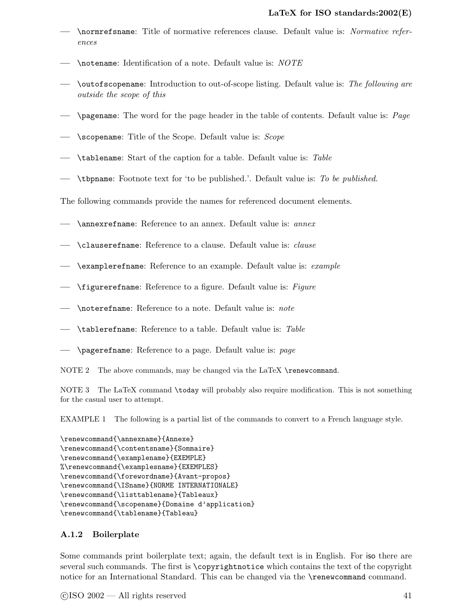- <span id="page-46-1"></span>— \normrefsname: Title of normative references clause. Default value is: Normative references
- \notename: Identification of a note. Default value is: NOTE
- \outofscopename: Introduction to out-of-scope listing. Default value is: The following are outside the scope of this
- $\rightarrow$  \pagename: The word for the page header in the table of contents. Default value is: *Page*
- $\longrightarrow$  \scopename: Title of the Scope. Default value is: Scope
- \tablename: Start of the caption for a table. Default value is: Table
- \tbpname: Footnote text for 'to be published.'. Default value is: To be published.

The following commands provide the names for referenced document elements.

- \annexrefname: Reference to an annex. Default value is: annex
- $-$  \clauserefname: Reference to a clause. Default value is: *clause*
- \examplerefname: Reference to an example. Default value is: example
- $\rightarrow$  \figurerefname: Reference to a figure. Default value is: Figure
- \noterefname: Reference to a note. Default value is: note
- \tablerefname: Reference to a table. Default value is: Table
- \pagerefname: Reference to a page. Default value is: page
- NOTE 2 The above commands, may be changed via the LaTeX \renewcommand.

NOTE 3 The LaTeX command \today will probably also require modification. This is not something for the casual user to attempt.

EXAMPLE 1 The following is a partial list of the commands to convert to a French language style.

```
\renewcommand{\annexname}{Annexe}
\renewcommand{\contentsname}{Sommaire}
\renewcommand{\examplename}{EXEMPLE}
%\renewcommand{\examplesname}{EXEMPLES}
\renewcommand{\forewordname}{Avant-propos}
\renewcommand{\ISname}{NORME INTERNATIONALE}
\renewcommand{\listtablename}{Tableaux}
\renewcommand{\scopename}{Domaine d'application}
\renewcommand{\tablename}{Tableau}
```
#### <span id="page-46-0"></span>A.1.2 Boilerplate

Some commands print boilerplate text; again, the default text is in English. For iso there are several such commands. The first is \copyrightnotice which contains the text of the copyright notice for an International Standard. This can be changed via the \renewcommand command.

 $\odot$ ISO 2002 — All rights reserved  $41$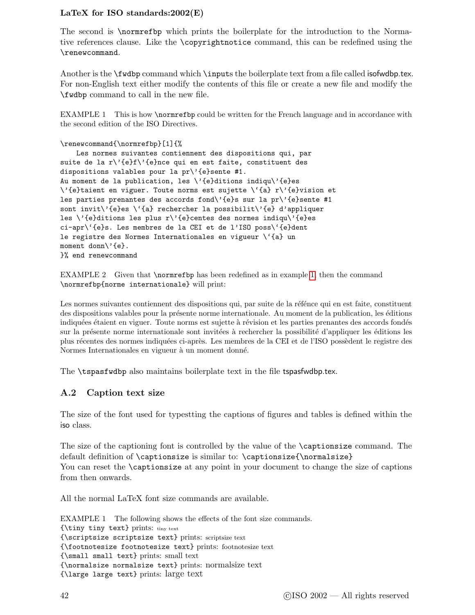<span id="page-47-2"></span>The second is \normrefbp which prints the boilerplate for the introduction to the Normative references clause. Like the \copyrightnotice command, this can be redefined using the \renewcommand.

Another is the \fwdbp command which \inputs the boilerplate text from a file called isofwdbp.tex. For non-English text either modify the contents of this file or create a new file and modify the \fwdbp command to call in the new file.

<span id="page-47-1"></span>EXAMPLE 1 This is how **\normrefbp** could be written for the French language and in accordance with the second edition of the ISO Directives.

```
\renewcommand{\normrefbp}[1]{%
```
Les normes suivantes contiennent des dispositions qui, par suite de la r\'{e}f\'{e}nce qui en est faite, constituent des dispositions valables pour la  $pr\prime$ '{e}sente #1. Au moment de la publication, les \'{e}ditions indiqu\'{e}es \'{e}taient en viguer. Toute norms est sujette \'{a} r\'{e}vision et les parties prenantes des accords fond\'{e}s sur la pr\'{e}sente #1 sont invit\'{e}es \'{a} rechercher la possibilit\'{e} d'appliquer les  $\iota$ '{e}ditions les plus r $\iota$ '{e}centes des normes indiqu $\iota$ '{e}es ci-apr\'{e}s. Les membres de la CEI et de l'ISO poss\'{e}dent le registre des Normes Internationales en vigueur \'{a} un moment donn\'{e}. }% end renewcommand

EXAMPLE 2 Given that \normrefbp has been redefined as in example [1,](#page-47-1) then the command \normrefbp{norme internationale} will print:

Les normes suivantes contiennent des dispositions qui, par suite de la réfénce qui en est faite, constituent des dispositions valables pour la présente norme internationale. Au moment de la publication, les éditions indiquées étaient en viguer. Toute norms est sujette à révision et les parties prenantes des accords fondés sur la présente norme internationale sont invitées à rechercher la possibilité d'appliquer les éditions les plus récentes des normes indiquées ci-après. Les membres de la CEI et de l'ISO possèdent le registre des Normes Internationales en vigueur à un moment donné.

<span id="page-47-0"></span>The \tspasfwdbp also maintains boilerplate text in the file tspasfwdbp.tex.

#### A.2 Caption text size

The size of the font used for typestting the captions of figures and tables is defined within the iso class.

The size of the captioning font is controlled by the value of the \captionsize command. The default definition of \captionsize is similar to: \captionsize{\normalsize} You can reset the **\captionsize** at any point in your document to change the size of captions from then onwards.

All the normal LaTeX font size commands are available.

EXAMPLE 1 The following shows the effects of the font size commands. {\tiny tiny text} prints: tiny text {\scriptsize scriptsize text} prints: scriptsize text {\footnotesize footnotesize text} prints: footnotesize text {\small small text} prints: small text {\normalsize normalsize text} prints: normalsize text {\large large text} prints: large text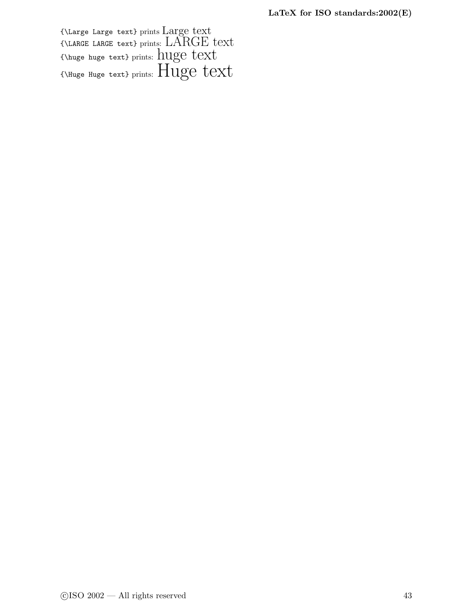<span id="page-48-0"></span>{\Large Large text} prints Large text {\LARGE LARGE text} prints: LARGE text {\huge huge text} prints: huge text {\Huge Huge text} prints: Huge text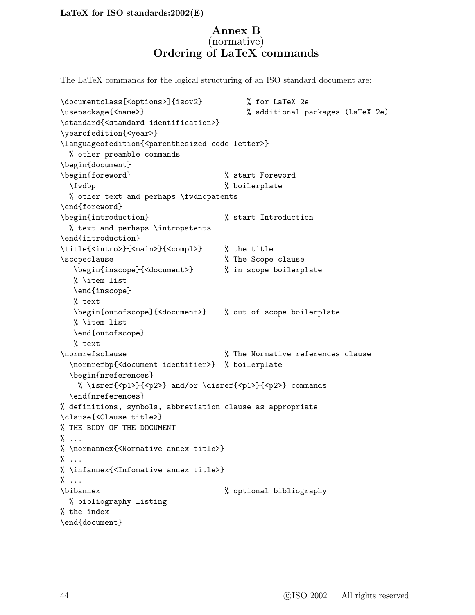# Annex B (normative) Ordering of LaTeX commands

<span id="page-49-0"></span>The LaTeX commands for the logical structuring of an ISO standard document are:

```
\documentclass[<options>]{isov2} % for LaTeX 2e
\usepackage{<name>} % additional packages (LaTeX 2e)
\standard{<standard identification>}
\yearofedition{<year>}
\languageofedition{<parenthesized code letter>}
 % other preamble commands
\begin{document}
\begin{foreword} % start Foreword
 \fwdbp % boilerplate
 % other text and perhaps \fwdnopatents
\end{foreword}
\begin{introduction} % start Introduction
 % text and perhaps \intropatents
\end{introduction}
\title{<intro>}{<main>}{<compl>} % the title
\scopeclause % The Scope clause
  \begin{inscope}{<document>} % in scope boilerplate
  % \item list
  \end{inscope}
  % text
  \begin{outofscope}{<document>} % out of scope boilerplate
  % \item list
  \end{outofscope}
  % text
\normrefsclause % The Normative references clause
 \normrefbp{<document identifier>} % boilerplate
 \begin{nreferences}
   % \isref{<p1>}{<p2>} and/or \disref{<p1>}{<p2>} commands
 \end{nreferences}
% definitions, symbols, abbreviation clause as appropriate
\clause{<Clause title>}
% THE BODY OF THE DOCUMENT
\% \dots% \normannex{<Normative annex title>}
% ...
% \infannex{<Infomative annex title>}
\% ...
\bibannex % optional bibliography
 % bibliography listing
% the index
\end{document}
```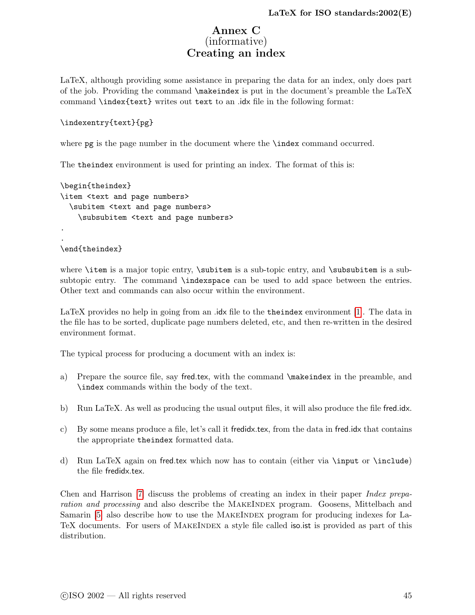# Annex C (informative) Creating an index

<span id="page-50-1"></span><span id="page-50-0"></span>LaTeX, although providing some assistance in preparing the data for an index, only does part of the job. Providing the command \makeindex is put in the document's preamble the LaTeX command \index{text} writes out text to an .idx file in the following format:

#### \indexentry{text}{pg}

where **pg** is the page number in the document where the **\index** command occurred.

The theindex environment is used for printing an index. The format of this is:

```
\begin{theindex}
\item <text and page numbers>
  \subitem <text and page numbers>
    \subsubitem <text and page numbers>
.
.
\end{theindex}
```
where  $\item$  is a major topic entry,  $\sub{sub-ten}$  is a sub-topic entry, and  $\sub{sub-ten}$  is a subsubtopic entry. The command \indexspace can be used to add space between the entries. Other text and commands can also occur within the environment.

LaTeX provides no help in going from an .idx file to the theindex environment [\[1\]](#page-56-0). The data in the file has to be sorted, duplicate page numbers deleted, etc, and then re-written in the desired environment format.

The typical process for producing a document with an index is:

- a) Prepare the source file, say fred.tex, with the command \makeindex in the preamble, and \index commands within the body of the text.
- b) Run LaTeX. As well as producing the usual output files, it will also produce the file fred.idx.
- c) By some means produce a file, let's call it fredidx.tex, from the data in fred.idx that contains the appropriate theindex formatted data.
- d) Run LaTeX again on fred.tex which now has to contain (either via \input or \include) the file fredidx.tex.

Chen and Harrison [\[7\]](#page-56-7) discuss the problems of creating an index in their paper Index preparation and processing and also describe the MAKEINDEX program. Goosens, Mittelbach and Samarin [\[5\]](#page-56-4) also describe how to use the MAKEINDEX program for producing indexes for La-TeX documents. For users of MAKEINDEX a style file called iso. ist is provided as part of this distribution.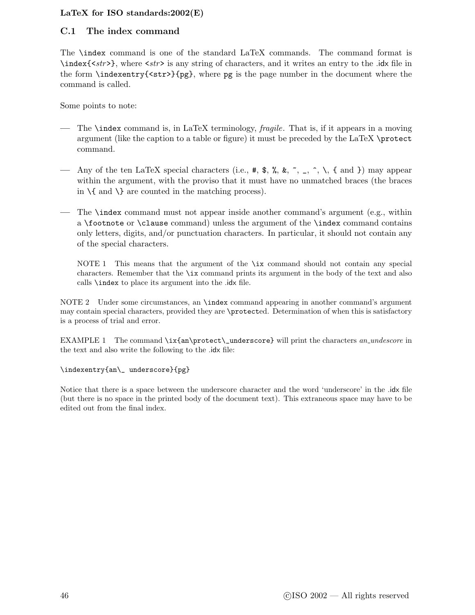#### <span id="page-51-1"></span><span id="page-51-0"></span>C.1 The index command

The \index command is one of the standard LaTeX commands. The command format is \index{<str>}, where <str> is any string of characters, and it writes an entry to the .idx file in the form \indexentry{<str>}{pg}, where pg is the page number in the document where the command is called.

Some points to note:

- The **\index** command is, in LaTeX terminology, *fragile*. That is, if it appears in a moving argument (like the caption to a table or figure) it must be preceded by the LaTeX \protect command.
- Any of the ten LaTeX special characters (i.e.,  $\#$ ,  $\frac{1}{2}$ ,  $\frac{1}{2}$ ,  $\frac{1}{2}$ ,  $\frac{1}{2}$ ,  $\frac{1}{2}$ ,  $\frac{1}{2}$ ,  $\frac{1}{2}$ ) may appear within the argument, with the proviso that it must have no unmatched braces (the braces in  $\{$  and  $\}$  are counted in the matching process).
- The  $\lambda$  index command must not appear inside another command's argument (e.g., within a \footnote or \clause command) unless the argument of the \index command contains only letters, digits, and/or punctuation characters. In particular, it should not contain any of the special characters.

NOTE 1 This means that the argument of the \ix command should not contain any special characters. Remember that the \ix command prints its argument in the body of the text and also calls \index to place its argument into the .idx file.

NOTE 2 Under some circumstances, an \index command appearing in another command's argument may contain special characters, provided they are \protected. Determination of when this is satisfactory is a process of trial and error.

EXAMPLE 1 The command \ix{an\protect\\_underscore} will print the characters an\_undescore in the text and also write the following to the .idx file:

#### \indexentry{an\\_ underscore}{pg}

Notice that there is a space between the underscore character and the word 'underscore' in the .idx file (but there is no space in the printed body of the document text). This extraneous space may have to be edited out from the final index.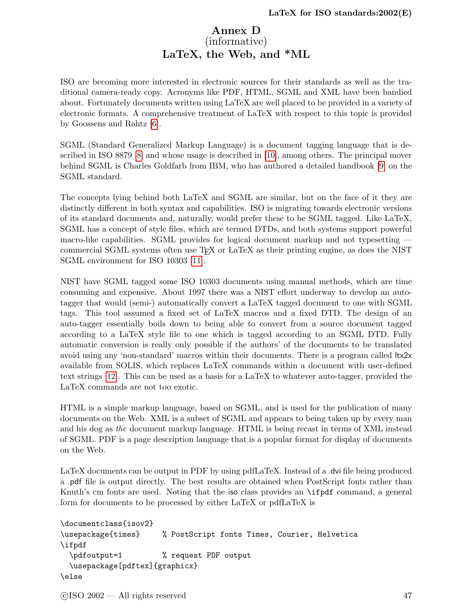# Annex D (informative) LaTeX, the Web, and \*ML

<span id="page-52-1"></span><span id="page-52-0"></span>ISO are becoming more interested in electronic sources for their standards as well as the traditional camera-ready copy. Acronyms like PDF, HTML, SGML and XML have been bandied about. Fortunately documents written using LaTeX are well placed to be provided in a variety of electronic formats. A comprehensive treatment of LaTeX with respect to this topic is provided by Goossens and Rahtz [\[6\]](#page-56-8).

SGML (Standard Generalized Markup Language) is a document tagging language that is described in ISO 8879 [\[8\]](#page-56-9) and whose usage is described in [\[10\]](#page-56-10), among others. The principal mover behind SGML is Charles Goldfarb from IBM, who has authored a detailed handbook [\[9\]](#page-56-11) on the SGML standard.

The concepts lying behind both LaTeX and SGML are similar, but on the face of it they are distinctly different in both syntax and capabilities. ISO is migrating towards electronic versions of its standard documents and, naturally, would prefer these to be SGML tagged. Like LaTeX, SGML has a concept of style files, which are termed DTDs, and both systems support powerful macro-like capabilities. SGML provides for logical document markup and not typesetting commercial SGML systems often use TEX or LaTeX as their printing engine, as does the NIST SGML environment for ISO 10303 [\[11\]](#page-56-12).

NIST have SGML tagged some ISO 10303 documents using manual methods, which are time consuming and expensive. About 1997 there was a NIST effort underway to develop an autotagger that would (semi-) automatically convert a LaTeX tagged document to one with SGML tags. This tool assumed a fixed set of LaTeX macros and a fixed DTD. The design of an auto-tagger essentially boils down to being able to convert from a source document tagged according to a LaTeX style file to one which is tagged according to an SGML DTD. Fully automatic conversion is really only possible if the authors' of the documents to be translated avoid using any 'non-standard' macros within their documents. There is a program called ltx2x available from SOLIS, which replaces LaTeX commands within a document with user-defined text strings [\[12\]](#page-56-13). This can be used as a basis for a LaTeX to whatever auto-tagger, provided the LaTeX commands are not too exotic.

HTML is a simple markup language, based on SGML, and is used for the publication of many documents on the Web. XML is a subset of SGML and appears to being taken up by every man and his dog as the document markup language. HTML is being recast in terms of XML instead of SGML. PDF is a page description language that is a popular format for display of documents on the Web.

LaTeX documents can be output in PDF by using pdfLaTeX. Instead of a .dvi file being produced a .pdf file is output directly. The best results are obtained when PostScript fonts rather than Knuth's cm fonts are used. Noting that the iso class provides an \ifpdf command, a general form for documents to be processed by either LaTeX or pdfLaTeX is

```
\documentclass{isov2}
\usepackage{times} % PostScript fonts Times, Courier, Helvetica
\ifpdf
  \pdfoutput=1 % request PDF output
  \usepackage[pdftex]{graphicx}
\else
```
 $\odot$ ISO 2002 — All rights reserved  $47$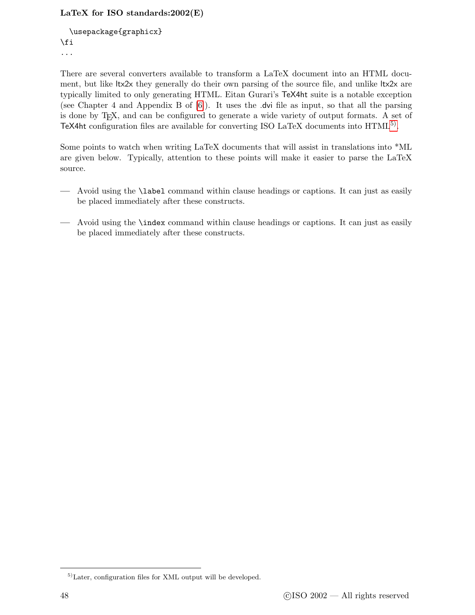```
\usepackage{graphicx}
\fi
...
```
There are several converters available to transform a LaTeX document into an HTML document, but like ltx2x they generally do their own parsing of the source file, and unlike ltx2x are typically limited to only generating HTML. Eitan Gurari's TeX4ht suite is a notable exception (see Chapter 4 and Appendix B of [\[6\]](#page-56-8)). It uses the .dvi file as input, so that all the parsing is done by TEX, and can be configured to generate a wide variety of output formats. A set of TeX4ht configuration files are available for converting ISO LaTeX documents into  $HTML<sup>5</sup>$ .

Some points to watch when writing LaTeX documents that will assist in translations into \*ML are given below. Typically, attention to these points will make it easier to parse the LaTeX source.

- Avoid using the \label command within clause headings or captions. It can just as easily be placed immediately after these constructs.
- Avoid using the \index command within clause headings or captions. It can just as easily be placed immediately after these constructs.

<span id="page-53-0"></span><sup>5)</sup>Later, configuration files for XML output will be developed.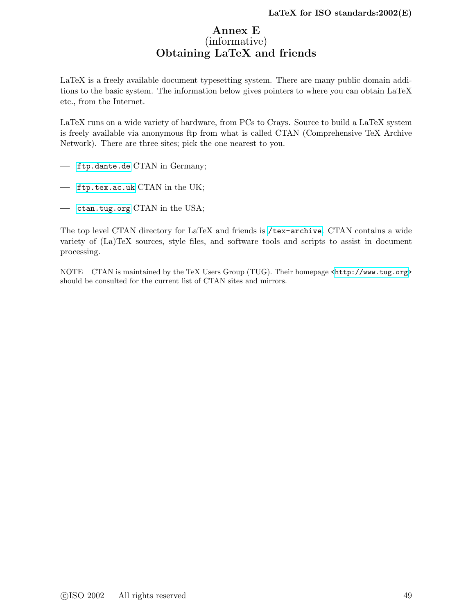# Annex E (informative) Obtaining LaTeX and friends

<span id="page-54-1"></span><span id="page-54-0"></span>LaTeX is a freely available document typesetting system. There are many public domain additions to the basic system. The information below gives pointers to where you can obtain LaTeX etc., from the Internet.

LaTeX runs on a wide variety of hardware, from PCs to Crays. Source to build a LaTeX system is freely available via anonymous ftp from what is called CTAN (Comprehensive TeX Archive Network). There are three sites; pick the one nearest to you.

- <ftp.dante.de> CTAN in Germany;
- <ftp.tex.ac.uk> CTAN in the UK;
- <ctan.tug.org> CTAN in the USA;

The top level CTAN directory for LaTeX and friends is </tex-archive>. CTAN contains a wide variety of (La)TeX sources, style files, and software tools and scripts to assist in document processing.

NOTE CTAN is maintained by the TeX Users Group (TUG). Their homepage [<http://www.tug.org>](http://www.tug.org) should be consulted for the current list of CTAN sites and mirrors.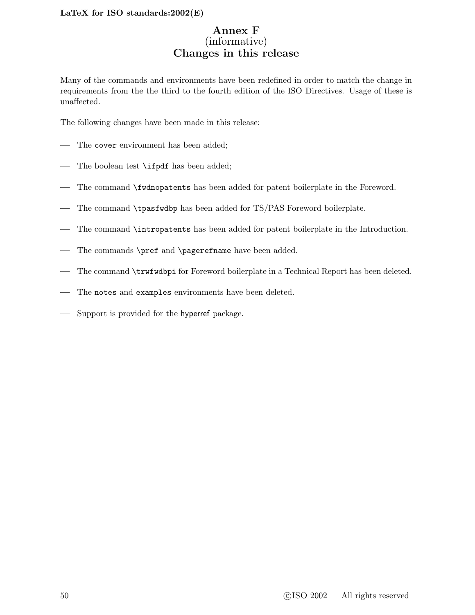# Annex F (informative) Changes in this release

<span id="page-55-1"></span><span id="page-55-0"></span>Many of the commands and environments have been redefined in order to match the change in requirements from the the third to the fourth edition of the ISO Directives. Usage of these is unaffected.

The following changes have been made in this release:

- The cover environment has been added;
- The boolean test \ifpdf has been added;
- The command \fwdnopatents has been added for patent boilerplate in the Foreword.
- The command \tpasfwdbp has been added for TS/PAS Foreword boilerplate.
- The command \intropatents has been added for patent boilerplate in the Introduction.
- The commands \pref and \pagerefname have been added.
- The command \trwfwdbpi for Foreword boilerplate in a Technical Report has been deleted.
- The notes and examples environments have been deleted.
- Support is provided for the hyperref package.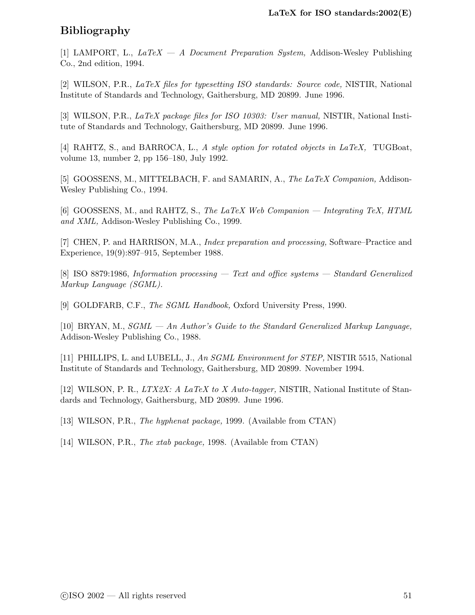# <span id="page-56-0"></span>Bibliography

[1] LAMPORT, L.,  $LaTeX - A Document Preparation System$ , Addison-Wesley Publishing Co., 2nd edition, 1994.

<span id="page-56-1"></span>[2] WILSON, P.R., LaTeX files for typesetting ISO standards: Source code, NISTIR, National Institute of Standards and Technology, Gaithersburg, MD 20899. June 1996.

<span id="page-56-2"></span>[3] WILSON, P.R., LaTeX package files for ISO 10303: User manual, NISTIR, National Institute of Standards and Technology, Gaithersburg, MD 20899. June 1996.

<span id="page-56-3"></span>[4] RAHTZ, S., and BARROCA, L., A style option for rotated objects in LaTeX, TUGBoat, volume 13, number 2, pp 156–180, July 1992.

<span id="page-56-4"></span>[5] GOOSSENS, M., MITTELBACH, F. and SAMARIN, A., The LaTeX Companion, Addison-Wesley Publishing Co., 1994.

<span id="page-56-8"></span>[6] GOOSSENS, M., and RAHTZ, S., The LaTeX Web Companion — Integrating TeX, HTML and XML, Addison-Wesley Publishing Co., 1999.

<span id="page-56-7"></span>[7] CHEN, P. and HARRISON, M.A., *Index preparation and processing*, Software–Practice and Experience, 19(9):897–915, September 1988.

<span id="page-56-9"></span>[8] ISO 8879:1986, Information processing — Text and office systems — Standard Generalized Markup Language (SGML).

<span id="page-56-11"></span><span id="page-56-10"></span>[9] GOLDFARB, C.F., *The SGML Handbook*, Oxford University Press, 1990.

[10] BRYAN, M., SGML — An Author's Guide to the Standard Generalized Markup Language, Addison-Wesley Publishing Co., 1988.

<span id="page-56-12"></span>[11] PHILLIPS, L. and LUBELL, J., An SGML Environment for STEP, NISTIR 5515, National Institute of Standards and Technology, Gaithersburg, MD 20899. November 1994.

<span id="page-56-13"></span>[12] WILSON, P. R., LTX2X: A LaTeX to X Auto-tagger, NISTIR, National Institute of Standards and Technology, Gaithersburg, MD 20899. June 1996.

<span id="page-56-6"></span><span id="page-56-5"></span>[13] WILSON, P.R., The hyphenat package, 1999. (Available from CTAN)

[14] WILSON, P.R., *The xtab package*, 1998. (Available from CTAN)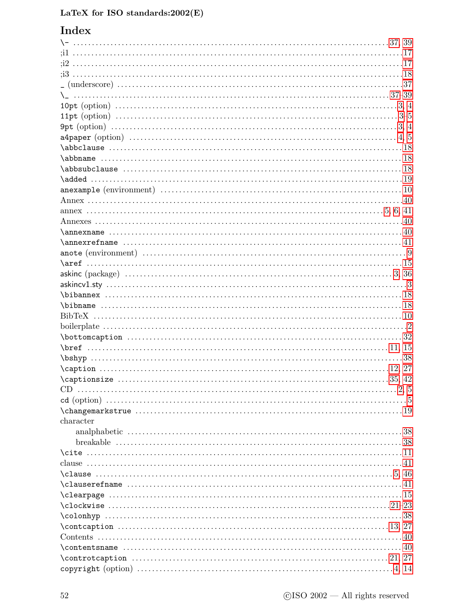# Index

| $\cap$ $35, 42$ |    |
|-----------------|----|
|                 |    |
|                 |    |
|                 |    |
| character       |    |
|                 |    |
|                 |    |
|                 |    |
|                 |    |
|                 |    |
|                 |    |
|                 |    |
|                 |    |
|                 |    |
| $\cosh\gamma$   | 38 |
|                 |    |
|                 |    |
|                 |    |
|                 |    |
|                 |    |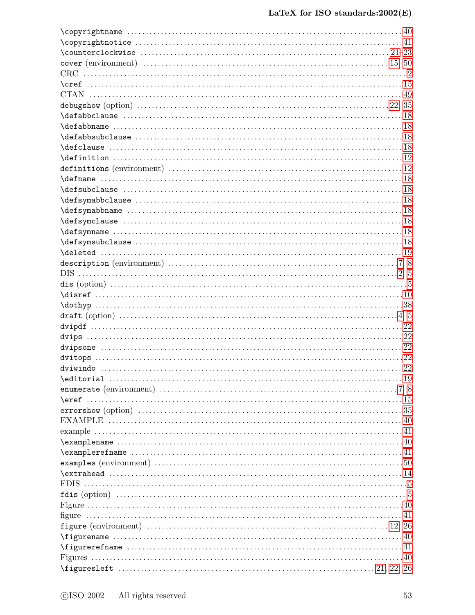| $\verb \examplename"  \verb    \verb    \verb    \verb    \verb    40$ |  |
|------------------------------------------------------------------------|--|
|                                                                        |  |
|                                                                        |  |
|                                                                        |  |
|                                                                        |  |
|                                                                        |  |
|                                                                        |  |
|                                                                        |  |
|                                                                        |  |
|                                                                        |  |
|                                                                        |  |
| $\left\{ \frac{1}{2} \right\}$                                         |  |
|                                                                        |  |
|                                                                        |  |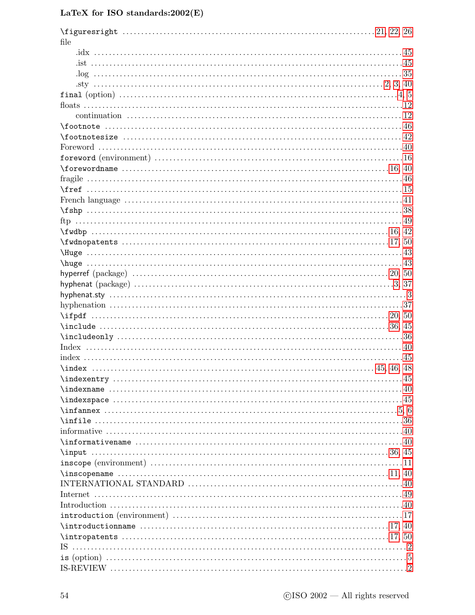| file              |  |
|-------------------|--|
|                   |  |
|                   |  |
|                   |  |
|                   |  |
|                   |  |
|                   |  |
|                   |  |
|                   |  |
|                   |  |
|                   |  |
|                   |  |
|                   |  |
|                   |  |
|                   |  |
|                   |  |
|                   |  |
|                   |  |
|                   |  |
|                   |  |
|                   |  |
|                   |  |
|                   |  |
|                   |  |
|                   |  |
|                   |  |
|                   |  |
|                   |  |
|                   |  |
|                   |  |
|                   |  |
|                   |  |
|                   |  |
|                   |  |
|                   |  |
|                   |  |
|                   |  |
|                   |  |
|                   |  |
|                   |  |
| $\mathcal{S}(45)$ |  |
|                   |  |
|                   |  |
|                   |  |
|                   |  |
|                   |  |
|                   |  |
|                   |  |
|                   |  |
| IS.               |  |
|                   |  |
|                   |  |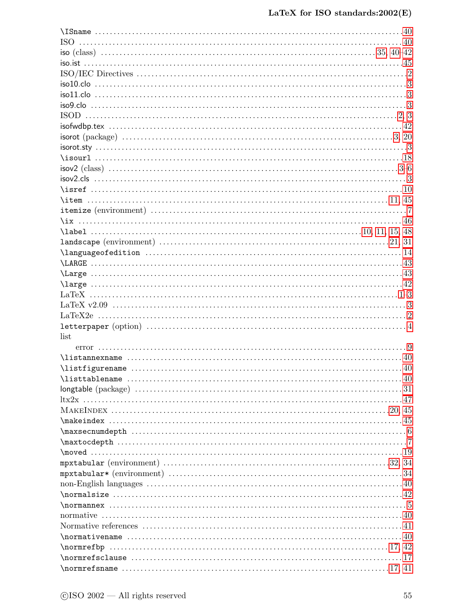| <b>ISO</b>                   |  |
|------------------------------|--|
|                              |  |
|                              |  |
|                              |  |
|                              |  |
|                              |  |
|                              |  |
|                              |  |
|                              |  |
|                              |  |
|                              |  |
|                              |  |
|                              |  |
|                              |  |
|                              |  |
|                              |  |
|                              |  |
|                              |  |
|                              |  |
|                              |  |
|                              |  |
|                              |  |
|                              |  |
|                              |  |
|                              |  |
|                              |  |
|                              |  |
|                              |  |
| list                         |  |
|                              |  |
|                              |  |
| $\texttt{\textbackslash}$    |  |
|                              |  |
|                              |  |
|                              |  |
|                              |  |
|                              |  |
|                              |  |
|                              |  |
|                              |  |
|                              |  |
|                              |  |
|                              |  |
|                              |  |
|                              |  |
|                              |  |
|                              |  |
|                              |  |
| $\verb \nonmativename      $ |  |
|                              |  |
|                              |  |
|                              |  |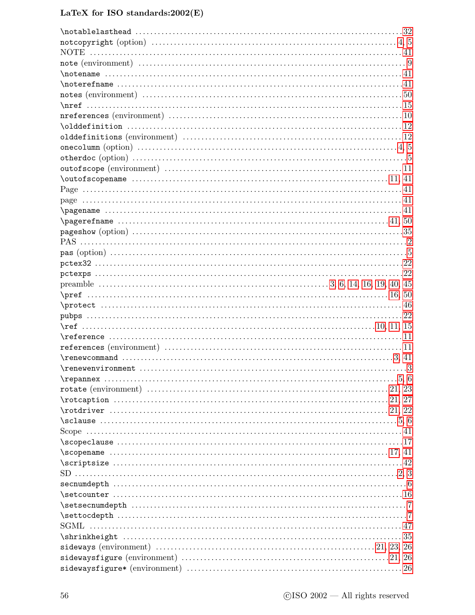| $\mathcal{A}$ $\mathcal{A}$                                                                                                                                                                                                                                                                                                        |  |
|------------------------------------------------------------------------------------------------------------------------------------------------------------------------------------------------------------------------------------------------------------------------------------------------------------------------------------|--|
| $\mathcal{A}$                                                                                                                                                                                                                                                                                                                      |  |
|                                                                                                                                                                                                                                                                                                                                    |  |
|                                                                                                                                                                                                                                                                                                                                    |  |
|                                                                                                                                                                                                                                                                                                                                    |  |
|                                                                                                                                                                                                                                                                                                                                    |  |
|                                                                                                                                                                                                                                                                                                                                    |  |
| one column (option) $\ldots$ $\ldots$ $\ldots$ $\ldots$ $\ldots$ $\ldots$ $\ldots$ $\ldots$ $\ldots$ $\ldots$ $\ldots$ $\ldots$ $\ldots$ $\ldots$ $\ldots$ $\ldots$ $\ldots$ $\ldots$ $\ldots$ $\ldots$ $\ldots$ $\ldots$ $\ldots$ $\ldots$ $\ldots$ $\ldots$ $\ldots$ $\ldots$ $\ldots$ $\ldots$ $\ldots$ $\ldots$ $\ldots$ $\ld$ |  |
|                                                                                                                                                                                                                                                                                                                                    |  |
|                                                                                                                                                                                                                                                                                                                                    |  |
|                                                                                                                                                                                                                                                                                                                                    |  |
|                                                                                                                                                                                                                                                                                                                                    |  |
|                                                                                                                                                                                                                                                                                                                                    |  |
|                                                                                                                                                                                                                                                                                                                                    |  |
|                                                                                                                                                                                                                                                                                                                                    |  |
|                                                                                                                                                                                                                                                                                                                                    |  |
|                                                                                                                                                                                                                                                                                                                                    |  |
|                                                                                                                                                                                                                                                                                                                                    |  |
|                                                                                                                                                                                                                                                                                                                                    |  |
|                                                                                                                                                                                                                                                                                                                                    |  |
|                                                                                                                                                                                                                                                                                                                                    |  |
|                                                                                                                                                                                                                                                                                                                                    |  |
| $\text{protect }          $                                                                                                                                                                                                                                                                                                        |  |
|                                                                                                                                                                                                                                                                                                                                    |  |
|                                                                                                                                                                                                                                                                                                                                    |  |
|                                                                                                                                                                                                                                                                                                                                    |  |
|                                                                                                                                                                                                                                                                                                                                    |  |
|                                                                                                                                                                                                                                                                                                                                    |  |
| $\verb \renewenvironment   \dots 13$                                                                                                                                                                                                                                                                                               |  |
|                                                                                                                                                                                                                                                                                                                                    |  |
|                                                                                                                                                                                                                                                                                                                                    |  |
|                                                                                                                                                                                                                                                                                                                                    |  |
|                                                                                                                                                                                                                                                                                                                                    |  |
|                                                                                                                                                                                                                                                                                                                                    |  |
|                                                                                                                                                                                                                                                                                                                                    |  |
|                                                                                                                                                                                                                                                                                                                                    |  |
| $\simeq 17, 41$                                                                                                                                                                                                                                                                                                                    |  |
|                                                                                                                                                                                                                                                                                                                                    |  |
|                                                                                                                                                                                                                                                                                                                                    |  |
|                                                                                                                                                                                                                                                                                                                                    |  |
|                                                                                                                                                                                                                                                                                                                                    |  |
|                                                                                                                                                                                                                                                                                                                                    |  |
|                                                                                                                                                                                                                                                                                                                                    |  |
|                                                                                                                                                                                                                                                                                                                                    |  |
|                                                                                                                                                                                                                                                                                                                                    |  |
|                                                                                                                                                                                                                                                                                                                                    |  |
|                                                                                                                                                                                                                                                                                                                                    |  |
|                                                                                                                                                                                                                                                                                                                                    |  |
|                                                                                                                                                                                                                                                                                                                                    |  |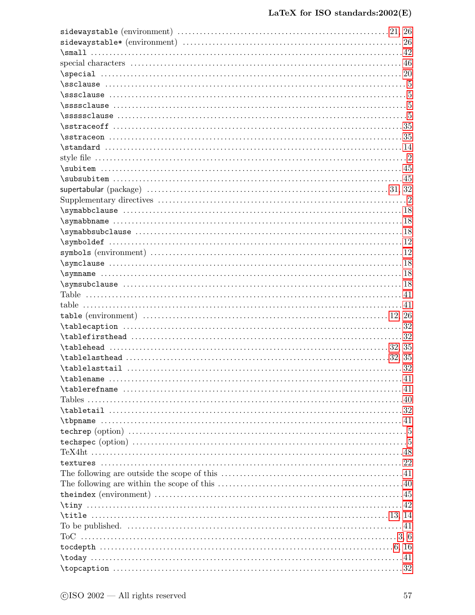| $\verb \tablecaption   \dots 32$                                                                                                                                                                                                                                                                                                       |  |
|----------------------------------------------------------------------------------------------------------------------------------------------------------------------------------------------------------------------------------------------------------------------------------------------------------------------------------------|--|
|                                                                                                                                                                                                                                                                                                                                        |  |
|                                                                                                                                                                                                                                                                                                                                        |  |
|                                                                                                                                                                                                                                                                                                                                        |  |
|                                                                                                                                                                                                                                                                                                                                        |  |
| $\verb \tablename         41$                                                                                                                                                                                                                                                                                                          |  |
| $\verb \tablerefname         $                                                                                                                                                                                                                                                                                                         |  |
|                                                                                                                                                                                                                                                                                                                                        |  |
|                                                                                                                                                                                                                                                                                                                                        |  |
|                                                                                                                                                                                                                                                                                                                                        |  |
|                                                                                                                                                                                                                                                                                                                                        |  |
|                                                                                                                                                                                                                                                                                                                                        |  |
|                                                                                                                                                                                                                                                                                                                                        |  |
|                                                                                                                                                                                                                                                                                                                                        |  |
|                                                                                                                                                                                                                                                                                                                                        |  |
|                                                                                                                                                                                                                                                                                                                                        |  |
|                                                                                                                                                                                                                                                                                                                                        |  |
|                                                                                                                                                                                                                                                                                                                                        |  |
| $\tilde{1}, 14$                                                                                                                                                                                                                                                                                                                        |  |
|                                                                                                                                                                                                                                                                                                                                        |  |
|                                                                                                                                                                                                                                                                                                                                        |  |
|                                                                                                                                                                                                                                                                                                                                        |  |
|                                                                                                                                                                                                                                                                                                                                        |  |
| $\to$ $\to$ $\ldots$ $\ldots$ $\ldots$ $\ldots$ $\ldots$ $\ldots$ $\ldots$ $\ldots$ $\ldots$ $\ldots$ $\ldots$ $\ldots$ $\ldots$ $\ldots$ $\ldots$ $\ldots$ $\ldots$ $\ldots$ $\ldots$ $\ldots$ $\ldots$ $\ldots$ $\ldots$ $\ldots$ $\ldots$ $\ldots$ $\ldots$ $\ldots$ $\ldots$ $\ldots$ $\ldots$ $\ldots$ $\ldots$ $\ldots$ $\ldots$ |  |